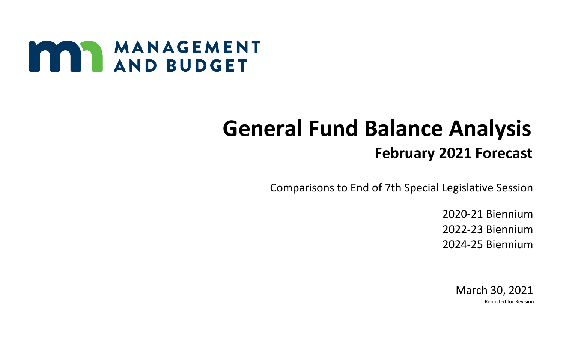

## **General Fund Balance Analysis February 2021 Forecast**

Comparisons to End of 7th Special Legislative Session

2020-21 Biennium 2022-23 Biennium 2024-25 Biennium

> March 30, 2021 Reposted for Revision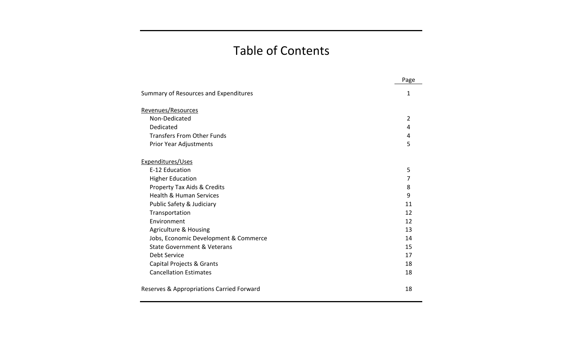## Table of Contents

|                                           | Page           |
|-------------------------------------------|----------------|
| Summary of Resources and Expenditures     | 1              |
| Revenues/Resources                        |                |
| Non-Dedicated                             | $\overline{2}$ |
| Dedicated                                 | 4              |
| <b>Transfers From Other Funds</b>         | 4              |
| Prior Year Adjustments                    | 5              |
| Expenditures/Uses                         |                |
| E-12 Education                            | 5              |
| <b>Higher Education</b>                   | 7              |
| <b>Property Tax Aids &amp; Credits</b>    | 8              |
| <b>Health &amp; Human Services</b>        | 9              |
| Public Safety & Judiciary                 | 11             |
| Transportation                            | 12             |
| Environment                               | 12             |
| <b>Agriculture &amp; Housing</b>          | 13             |
| Jobs, Economic Development & Commerce     | 14             |
| State Government & Veterans               | 15             |
| Debt Service                              | 17             |
| <b>Capital Projects &amp; Grants</b>      | 18             |
| <b>Cancellation Estimates</b>             | 18             |
| Reserves & Appropriations Carried Forward | 18             |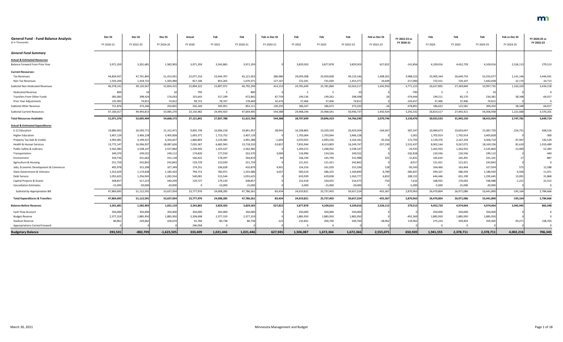| <b>General Fund - Fund Balance Analysis</b> | Dec SS     | Dec <sub>SS</sub> | Dec SS       | Actual     | Feb        | Feb        | Feb vs Dec SS | Feb        | Feb        | Feb        | Feb vs Dec SS | FY 2022-23 vs | Feb        | Feb        | Feb        | Feb vs Dec SS | FY 2024-25 vs |
|---------------------------------------------|------------|-------------------|--------------|------------|------------|------------|---------------|------------|------------|------------|---------------|---------------|------------|------------|------------|---------------|---------------|
| (\$ in Thousands)                           | FY 2020-21 | FY 2022-23        | FY 2024-25   | FY 2020    | FY 2021    | FY 2020-21 | FY 2020-21    | FY 2022    | FY 2023    | FY 2022-23 | FY 2022-23    | FY 2020-21    | FY 2024    | FY 2025    | FY 2024-25 | FY 2024-25    | FY 2022-23    |
| <b>General Fund Summary</b>                 |            |                   |              |            |            |            |               |            |            |            |               |               |            |            |            |               |               |
| <b>Actual &amp; Estimated Resources</b>     |            |                   |              |            |            |            |               |            |            |            |               |               |            |            |            |               |               |
| Balance Forward From Prior Year             | 3,971,359  | 3,201,681         | 1,582,903    | 3,971,359  | 3,343,865  | 3,971,359  |               | 3,829,503  | 3,877,878  | 3,829,503  | 627,822       | $-141,856$    | 4,109,016  | 4,452,729  | 4,109,01   | 2,526,113     | 279,513       |
| <b>Current Resources:</b>                   |            |                   |              |            |            |            |               |            |            |            |               |               |            |            |            |               |               |
| <b>Tax Revenues</b>                         | 44,834,93  | 47,701,845        | 51,413,931   | 22,077,216 | 23,044,707 | 45,121,923 | 286,986       | 24,059,308 | 25,050,838 | 49,110,146 | 1,408,301     | 3,988,223     | 25,905,344 | 26,649,733 | 52,555,07  | 1,141,146     | 3,444,931     |
| Non-Tax Revenues                            | 1,543,204  | 1,418,722         | 1,420,484    | 817,106    | 853,265    | 1,670,371  | 127,167       | 722,341    | 731,030    | 1,453,371  | 34,649        | $-217,000$    | 722,551    | 720,107    | 1,442,65   | 22,174        | $-10,713$     |
| Subtotal Non-Dedicated Revenues             | 46,378,141 | 49,120,56         | 52,834,415   | 22,894,322 | 23,897,972 | 46,792,294 | 414,15        | 24,781,649 | 25,781,868 | 50,563,517 | 1,442,950     | 3,771,223     | 26,627,895 | 27,369,840 | 53,997,735 | 1,163,320     | 3,434,218     |
| <b>Dedicated Revenue</b>                    | 800        |                   |              | 795        |            | 800        |               |            | - 5        |            |               | $-790$        |            |            |            |               |               |
| Transfers From Other Funds                  | 585,083    | 298,424           | 176,033      | 155,643    | 517,199    | 672,842    | 87,759        | 149,136    | 149,262    | 298,398    |               | $-374,444$    | 149,211    | 85,170     | 234,381    | 58,348        | $-64,017$     |
| Prior Year Adjustments                      | 135,993    | 74,812            | 74,812       | 99,722     | 78,747     | 178,469    | 42,476        | 37,406     | 37,406     | 74,812     |               | $-103,65$     | 37,406     | 37,406     | 74,812     |               |               |
| Subtotal Other Revenue                      | 721,876    | 373,246           | 250,855      | 256,160    | 595,951    | 852,111    | 130,235       | 186,547    | 186,673    | 373,220    | $-26$         | $-478,89$     | 186,622    | 122,581    | 309,203    | 58,348        | $-64,017$     |
| <b>Subtotal Current Resources</b>           | 47,100,01  | 49,493,81         | 53,085,270   | 23,150,482 | 24,493,923 | 47,644,405 | 544,388       | 24,968,196 | 25,968,541 | 50,936,737 | 1,442,924     | 3,292,332     | 26,814,517 | 27,492,421 | 54,306,938 | 1,221,668     | 3,370,201     |
| <b>Total Resources Available</b>            | 51,071,376 | 52,695,494        | 54,668,173   | 27,121,841 | 27,837,788 | 51,615,764 | 544,388       | 28,797,699 | 29,846,419 | 54,766,240 | 2,070,746     | 3,150,476     | 30,923,533 | 31,945,150 | 58,415,954 | 3,747,781     | 3,649,714     |
| <b>Actual &amp; Estimated Expenditures</b>  |            |                   |              |            |            |            |               |            |            |            |               |               |            |            |            |               |               |
| E-12 Education                              | 19,880,902 | 20,593,77         | 21,312,471   | 9,835,739  | 10,006,218 | 19,841,957 | $-38,945$     | 10,108,865 | 10,320,339 | 20,429,204 | $-164,567$    | 587,24        | 10,484,673 | 10,603,047 | 21,087,72  | $-224,751$    | 658,516       |
| <b>Higher Education</b>                     | 3,407,129  | 3,406,128         | 3,405,828    | 1,693,377  | 1,713,752  | 3,407,129  |               | 1,703,064  | 1,703,064  | 3,406,128  |               | $-1,001$      | 1,702,914  | 1,702,914  | 3,405,82   |               | $-300$        |
| Property Tax Aids & Credits                 | 3,993,081  | 4,199,537         | 4,354,657    | 1,866,803  | 2,124,585  | 3,991,388  | $-1,693$      | 2,070,925  | 2,093,256  | 4,164,181  | $-35,356$     | 172,793       | 2,139,376  | 2,167,334  | 4,306,71   | $-47,947$     | 142,529       |
| Health & Human Services                     | 13,772,147 | 16,506,93         | 18,087,626   | 7,035,367  | 6,682,943  | 13,718,310 | $-53,837$     | 7,835,944  | 8,413,803  | 16,249,747 | $-257,190$    | 2,531,437     | 8,902,164  | 9,267,072  | 18,169,23  | 81,610        | 1,919,489     |
| Public Safety & Judiciary                   | 2,562,482  | 2,538,147         | 2,537,864    | 1,236,945  | 1,325,537  | 2,562,482  |               | 1,269,215  | 1,268,932  | 2,538,14   |               | $-24,335$     | 1,262,932  | 1,262,932  | 2,525,86   | $-12,000$     | $-12,283$     |
| Transportation                              | 349,370    | 249,552           | 249,112      | 174,820    | 177,550    | 352,370    | 3,000         | 124,996    | 124,556    | 249,552    |               | $-102,818$    | 124,556    | 124,556    | 249,11     |               | -440          |
| Environment                                 | 344,736    | 331,663           | 331,118      | 166,422    | 178,397    | 344,819    |               | 166,194    | 165,794    | 331,988    | 325           | $-12,83.$     | 165,610    | 165,491    | 331,101    |               | $-887$        |
| Agriculture & Housing                       | 251,759    | 242,842           | 242,842      | 129,729    | 122,030    | 251,759    |               | 121,421    | 121,421    | 242,842    |               | $-8,91$       | 121,421    | 121,421    | 242,842    |               |               |
| Jobs, Economic Development & Commerce       | 405,978    | 315,208           | 327,349      | 174,251    | 236,628    | 410,879    | 4,901         | 154,316    | 161,020    | 315,336    | 128           | $-95,543$     | 164,460    | 163,464    | 327,924    | 575           | 12,588        |
| <b>State Government &amp; Veterans</b>      | 1,552,629  | 1,174,638         | 1,185,424    | 794,715    | 760,971    | 1,555,686  | 3,057         | 583,524    | 586,325    | 1,169,849  | -4,789        | $-385,83$     | 594,327    | 586,593    | 1,180,92   | $-4,504$      | 11,071        |
| Debt Service                                | 1,055,625  | 1,256,945         | 1,282,554    | 540,081    | 515,544    | 1,055,625  |               | 633,939    | 629,838    | 1,263,777  | 6832          | 208,15        | 644,446    | 651,199    | 1,295,64   | 13,091        | 31,868        |
| Capital Projects & Grants                   | 308,85     | 317,223           | 340,209      | 129,727    | 179,130    | 308,857    |               | 152,418    | 164,055    | 316,473    | -750          | 7,616         | 168,925    | 170,063    | 338,988    | $-1,221$      | 22,515        |
| <b>Cancellation Estimates</b>               | $-15,000$  | $-20,000$         | $-20,000$    |            | $-15,000$  | $-15,000$  |               | $-5,000$   | $-15,000$  | $-20,000$  |               | $-5,000$      | $-5,000$   | $-15,000$  | $-20,000$  |               |               |
| Subtotal by Appropriation Bill              | 47,869,695 | 51,112,59         | 53,637,054   | 23,777,976 | 24,008,285 | 47,786,261 | $-83,434$     | 24,919,821 | 25,737,403 | 50,657,224 | $-455,367$    | 2,870,963     | 26,470,804 | 26,971,086 | 53,441,890 | $-195,164$    | 2,784,666     |
| <b>Total Expenditures &amp; Transfers</b>   | 47,869,695 | 51,112,591        | 53,637,054   | 23,777,976 | 24,008,285 | 47,786,261 | $-83,434$     | 24,919,821 | 25,737,403 | 50,657,224 | $-455,367$    | 2,870,963     | 26,470,804 | 26,971,086 | 53,441,890 | $-195,164$    | 2,784,666     |
| <b>Balance Before Reserves</b>              | 3,201,681  | 1,582,903         | 1,031,119    | 3,343,865  | 3,829,503  | 3,829,503  | 627,822       | 3,877,878  | 4,109,016  | 4,109,016  | 2,526,113     | 279,513       | 4,452,729  | 4,974,064  | 4,974,064  | 3,942,945     | 865,048       |
| Cash Flow Account                           | 350,000    | 350,000           | 350,000      | 350,000    | 350,000    | 350,000    |               | 350,000    | 350,000    | 350,000    |               |               | 350,000    | 350,000    | 350,000    |               |               |
| <b>Budget Reserve</b>                       | 2,377,319  | 1,885,950         | 1,885,950    | 2,358,698  | 2,377,319  | 2,377,319  |               | 1,885,950  | 1,885,950  | 1,885,950  |               | -491,369      | 1,885,950  | 1,885,950  | 1,885,950  |               |               |
| <b>Stadium Reserve</b>                      | 80,861     | 229,662           | 418,674      | 55,700     | 80,738     | 80,738     | $-123$        | 135,841    | 200,700    | 200,700    | $-28,962$     | 119,962       | 275,224    | 359,403    | 359,403    | $-59,271$     | 158,703       |
| <b>Appropriations Carried Forward</b>       |            |                   |              | 246,058    |            |            |               | $\Omega$   | $\Omega$   |            |               |               |            |            |            |               |               |
| <b>Budgetary Balance</b>                    | 393,501    | $-882,709$        | $-1,623,505$ | 333,409    | 1,021,446  | 1,021,446  | 627,945       | 1,506,087  | 1,672,366  | 1,672,366  | 2,555,075     | 650,920       | 1,941,555  | 2,378,711  | 2,378,711  | 4,002,216     | 706,345       |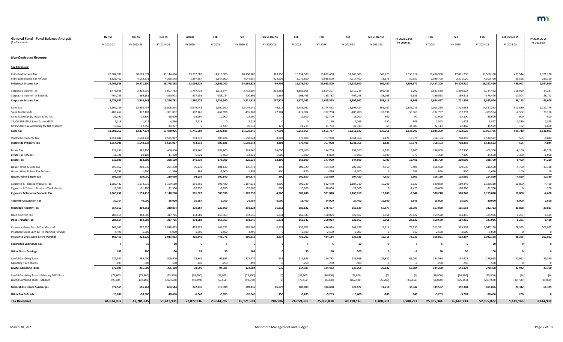| <b>General Fund - Fund Balance Analysis</b><br>(\$ in Thousands) | Dec SS<br>FY 2020-21 | Dec <sub>SS</sub><br>FY 2022-23 | Dec <sub>SS</sub><br>FY 2024-25 | Actual<br>FY 2020 | Feb<br>FY 2021 | Feb<br>FY 2020-21 | Feb vs Dec SS<br>FY 2020-21 | Feb<br>FY 2022 | Feb<br>FY 2023 | Feb<br>FY 2022-23 | Feb vs Dec SS<br>FY 2022-23 | FY 2022-23 vs<br>FY 2020-21 | Feb<br>FY 2024 | Feb<br>FY 2025 | Feb<br>FY 2024-25 | Feb vs Dec SS<br>FY 2024-25 | FY 2024-25 vs<br>FY 2022-23 |
|------------------------------------------------------------------|----------------------|---------------------------------|---------------------------------|-------------------|----------------|-------------------|-----------------------------|----------------|----------------|-------------------|-----------------------------|-----------------------------|----------------|----------------|-------------------|-----------------------------|-----------------------------|
| <b>Non-Dedicated Revenue</b>                                     |                      |                                 |                                 |                   |                |                   |                             |                |                |                   |                             |                             |                |                |                   |                             |                             |
| <b>Tax Revenues:</b>                                             |                      |                                 |                                 |                   |                |                   |                             |                |                |                   |                             |                             |                |                |                   |                             |                             |
| Individual Income Tax                                            | 28,384,990           | 30,603,67                       | 33,144,616                      | 13,992,086        | 14,716,700     | 28,708,786        | 323,796                     | 15,354,500     | 15,892,400     | 31,246,900        | 643,229                     | 2,538,114                   | 16,496,900     | 17,071,230     | 33,568,130        | 423,514                     | 2,321,230                   |
| Individual Income Tax Refunds                                    | $-3,621,452$         | $-4,032,571$                    | $-4,366,248$                    | $-1,897,957$      | $-2,147,000$   | $-4,044,957$      | $-423,505$                  | $-2,075,800$   | $-1,938,600$   | $-4,014,400$      | 18,171                      | 30,557                      | $-2,029,700$   | $-2,271,020$   | $-4,300,720$      | 65,528                      | $-286,320$                  |
| <b>Individual Income Tax</b>                                     | 24,763,538           | 26,571,100                      | 28,778,368                      | 12,094,129        | 12,569,700     | 24,663,829        | -99,709                     | 13,278,700     | 13,953,800     | 27,232,500        | 661,400                     | 2,568,671                   | 14,467,200     | 14,800,210     | 29,267,410        | 489,042                     | 2,034,910                   |
| Corporate Income Tax                                             | 3,478,646            | 3,313,730                       | 3,607,75                        | 1,797,433         | 1,915,074      | 3,712,507         | 233,861                     | 1,885,908      | 1,824,307      | 3,710,215         | 396,485                     | $-2,292$                    | 1,833,530      | 1,890,922      | 3,724,452         | 116,699                     | 14,237                      |
| Corporate Income Tax Refunds                                     | $-404,759$           | $-369,182$                      | $-360,972$                      | $-217,158$        | $-183,734$     | $-400,89$         | 3,867                       | -208,466       | $-198,782$     | $-407,248$        | $-38,066$                   | $-6,356$                    | $-189,063$     | $-189,413$     | $-378,476$        | $-17,504$                   | 28,772                      |
| <b>Corporate Income Tax</b>                                      | 3,073,887            | 2,944,548                       | 3,246,781                       | 1,580,275         | 1,731,340      | 3,311,615         | 237,728                     | 1,677,442      | 1,625,525      | 3,302,967         | 358,419                     | $-8,648$                    | 1,644,467      | 1,701,509      | 3,345,976         | 99,195                      | 43,009                      |
| Sales Tax                                                        | 11,997,229           | 12,830,407                      | 13,806,394                      | 5,946,441         | 6,100,300      | 12,046,741        | 49,512                      | 6,455,042      | 6,744,412      | 13,199,454        | 369,047                     | 1,152,713                   | 7,013,250      | 7,303,983      | 14,317,233        | 510,839                     | 1,117,779                   |
| Sales Tax Refunds                                                | $-483,467$           | $-372,102$                      | $-381,002$                      | $-187,765$        | $-267,998$     | $-455,763$        | 27,704                      | $-212,902$     | $-192,798$     | $-405,700$        | $-33,598$                   | 50,063                      | $-192,797$     | $-192,797$     | $-385,594$        | $-4,592$                    | 20,106                      |
| Sales Tax Refunds, Indian Sales Tax                              | $-25,290$            | $-25,800$                       | $-26,600$                       | $-15,290$         | $-10,000$      | $-25,290$         |                             | $-12,500$      | $-12,700$      | $-25,200$         | 600                         |                             | $-12,900$      | $-13,100$      | $-26,000$         | 600                         | $-800$                      |
| 12, CH 299 MPLS Sales Tax to MSFA                                | 2,118                | 1,919                           | 4,836                           | 2,118             | - 0            | 2,118             |                             | - 0            | 1,169          | 1,169             | $-750$                      | $-949$                      | 1,543          | 1,974          | 3,517             | $-1,319$                    | 2,348                       |
| MPLS Sales Tax w/Holding for NFL Stadium                         | 10,662               | 42,850                          | 44,39                           | - റ               | 10,539         | 10,539            | $-123$                      | 21,215         | 21,704         | 42,91             |                             | 32,380                      | 22,113         | 22,466         | 44,579            | 182                         | 1,660                       |
| Sales Tax                                                        | 11,501,252           | 12,477,274                      | 13,448,025                      | 5,745,504         | 5,832,841      | 11,578,345        | 77,093                      | 6,250,855      | 6,561,787      | 12,812,642        | 335,368                     | 1,234,297                   | 6,831,209      | 7,122,526      | 13,953,735        | 505,710                     | 1,141,093                   |
| <b>Statewide Property Tax</b>                                    | 1,554,041            | 1,540,238                       | 1,535,927                       | 753,318           | 805,026        | 1,558,344         | 4,303                       | 773,408        | 767,958        | 1,541,366         | 1,128                       | $-16,978$                   | 768,163        | 768,359        | 1,536,522         | 595                         | $-4,844$                    |
| <b>Statewide Property Tax</b>                                    | 1,554,041            | 1,540,238                       | 1,535,927                       | 753,318           | 805,026        | 1,558,344         | 4,303                       | 773,408        | 767,958        | 1,541,366         | 1,128                       | $-16,978$                   | 768,163        | 768,359        | 1,536,522         | 595                         | $-4,844$                    |
| <b>Estate Tax</b>                                                | 324,260              | 362,300                         | 409,400                         | 153,460           | 184,800        | 338,260           | 14,000                      | 173,400        | 184,700        | 358,100           | $-4,200$                    | 19,840                      | 196,000        | 207,300        | 403,300           | $-6,100$                    | 45,200                      |
| Estate Tax Refunds                                               | $-11,321$            | $-10,100$                       | $-11,300$                       | $-6,721$          | $-6,500$       | $-13,221$         | $-1,900$                    | $-6,800$       | $-6,800$       | $-13,600$         | $-3,500$                    | $-379$                      | $-7,300$       | $-7,300$       | $-14,600$         | $-3,300$                    | $-1,000$                    |
| <b>Estate Tax</b>                                                | 312,939              | 352,200                         | 398,100                         | 146,739           | 178,300        | 325,039           | 12,100                      | 166,600        | 177,900        | 344,500           | $-7,700$                    | 19,461                      | 188,700        | 200,000        | 388,700           | $-9,400$                    | 44,200                      |
| Liquor, Wine & Beer Tax                                          | 196,962              | 210,730                         | 221,250                         | 95,132            | 101,640        | 196,772           | $-190$                      | 101,720        | 104,460        | 206,180           | $-4,550$                    | 9,408                       | 106,970        | 109,530        | 216,500           | $-4,750$                    | 10,320                      |
| Liquor, Wine & Beer Tax Refunds                                  | $-1,793$             | $-1,700$                        | $-1,590$                        | $-893$            | $-1,000$       | $-1,893$          | $-100$                      | $-870$         | $-830$         | $-1,700$          |                             | 193                         | $-840$         | $-850$         | $-1,690$          | $-100$                      | 10                          |
| Liquor, Wine & Beer Tax                                          | 195,169              | 209,030                         | 219,660                         | 94,239            | 100,640        | 194,879           | $-290$                      | 100,850        | 103,630        | 204,480           | $-4,550$                    | 9,601                       | 106,130        | 108,680        | 214,810           | $-4,850$                    | 10,330                      |
| Cigarette & Tobacco Products Tax                                 | 1,182,432            | 1,174,510                       | 1,169,510                       | 591,752           | 595,480        | 1,187,232         | 4,800                       | 592,240        | 592,470        | 1,184,710         | 10,200                      | $-2,522$                    | 590,870        | 589,440        | 1,180,310         | 10,800                      | $-4,400$                    |
| Cigarette & Tobacco Products Tax Refunds                         | $-19,180$            | $-21,100$                       | $-21,300$                       | $-10,730$         | $-8,950$       | $-19,680$         | $-500$                      | $-10,500$      | $-10,600$      | $-21,100$         |                             | $-1,420$                    | $-10,600$      | $-10,700$      | $-21,300$         |                             | $-200$                      |
| <b>Cigarette &amp; Tobacco Products Tax</b>                      | 1,163,252            | 1,153,410                       | 1,148,210                       | 581,022           | 586,530        | 1,167,552         | 4,300                       | 581,740        | 581,870        | 1,163,610         | 10,200                      | $-3,942$                    | 580,270        | 578,740        | 1,159,010         | 10,800                      | $-4,600$                    |
| <b>Taconite Occupation Tax</b>                                   | 30,754               | 40,000                          | 36,000                          | 15,654            | 9,100          | 24,754            | $-6,000$                    | 13,400         | 14,000         | 27,400            | $-12,600$                   | 2,646                       | 15,000         | 15,000         | 30,000            | $-6,000$                    | 2,600                       |
| <b>Mortgage Registry Tax</b>                                     | 354,512              | 304,852                         | 310,854                         | 170,364           | 220,960        | 391,324           | 36,812                      | 186,122        | 176,407        | 362,529           | 57,677                      | $-28,795$                   | 167,060        | 165,652        | 332,712           | 21,858                      | $-29,817$                   |
| Deed Transfer Tax                                                | 288,114              | 314,606                         | 317,725                         | 134,582           | 159,363        | 293,945           | 5,831                       | 162,543        | 160,024        | 322,567           | 7,961                       | 28,622                      | 159,570        | 164,416        | 323,986           | 6,261                       | 1,419                       |
| <b>Deed Transfer Tax</b>                                         | 288,114              | 314,606                         | 317,725                         | 134,582           | 159,363        | 293,945           | 5,831                       | 162,543        | 160,024        | 322,567           | 7,961                       | 28,622                      | 159,570        | 164,416        | 323,986           | 6,261                       | 1,419                       |
| Insurance Gross Earn & Fire Marshall                             | 867,943              | 927,620                         | 1,018,83                        | 418,835           | 446,271        | 865,106           | $-2,837$                    | 457,702        | 486,634        | 944,336           | 16,716                      | 79,230                      | 511,391        | 535,807        | 1,047,198         | 28,365                      | 102,862                     |
| Insurance Gross Earn & Fire Marshall Refunds                     | $-4,490$             | $-5,000$                        | $-5,000$                        | $-1,990$          | $-2,500$       | $-4,490$          |                             | $-2,500$       | $-2,500$       | $-5,000$          |                             | $-510$                      | $-2,500$       | $-2,500$       | $-5,000$          |                             | - 0                         |
| <b>Insurance Gross Earn &amp; Fire Marshall</b>                  | 863,453              | 922,620                         | 1,013,83                        | 416,845           | 443,771        | 860,616           | $-2,837$                    | 455,202        | 484,134        | 939,336           | 16,716                      | 78,720                      | 508,891        | 533,307        | 1,042,198         | 28,365                      | 102,862                     |
| <b>Controlled Substance Tax</b>                                  |                      |                                 | 10                              |                   |                |                   |                             |                | -5             | 10                |                             |                             |                |                |                   |                             | $\mathbf 0$                 |
| <b>Other Gross Earnings</b>                                      | 103                  | 100                             | 100                             | 53                | 50             |                   |                             | 50             | 50             | 100               |                             |                             | 50             | 50             | 100               |                             |                             |
|                                                                  |                      |                                 |                                 |                   |                |                   |                             |                |                |                   |                             |                             |                |                |                   |                             |                             |
| Lawful Gambling Taxes                                            | 172,542              | 266,400                         | 306,900                         | 78,842            | 94,635         | 173,477           | 935                         | 114,835        | 124,733        | 239,568           | $-26,832$                   | 66,091                      | 134,530        | 144,428        | 278,958           | $-27,942$                   | 39,390                      |
| <b>Gambling Tax Refunds</b>                                      | $-493$               | $-500$                          | $-500$                          | $-243$            | $-250$         | -493              |                             | $-250$         | $-250$         | $-500$            |                             |                             | $-250$         | $-250$         | $-500$            |                             | 0                           |
| <b>Lawful Gambling Taxes</b>                                     | 172,049              | 265,900                         | 306,400                         | 78,599            | 94,385         | 172,984           | 935                         | 114,585        | 124,483        | 239,068           | $-26,832$                   | 66,084                      | 134,280        | 144,178        | 278,458           | $-27,942$                   | 39,390                      |
| Lawful Gambling Taxes - February 2012 Base                       | [73,800]             | [73, 800]                       | [73, 800]                       | [36,900]          | [36,900]       | [73,800]          |                             | [36,900]       | [36,900]       | [73, 800]         |                             |                             | [36,900]       | [36,900]       | [73, 800]         |                             | [0]                         |
| Lawful Gambling Taxes - Stadium                                  | [99, 044]            | [192, 100]                      | [232, 600]                      | [42, 494]         | [56, 550]      | [99, 044]         |                             | [76, 550]      | [86, 350]      | [162, 900]        | $[-29, 200]$                | [63, 856]                   | [96,050]       | [105, 850]     | [201,900]         | $[-30, 700]$                | [39,000]                    |
| <b>Medical Assistance Surcharges</b>                             | 572,565              | 616,263                         | 664,544                         | 272,736           | 316,399        | 589,135           | 16,570                      | 303,009        | 324,468        | 627,47            | 11,214                      | 38,342                      | 339,552        | 352,304        | 691,856           | 27,312                      | 64,379                      |
| <b>Other Tax Refunds</b>                                         | $-10,696$            | $-10,306$                       | $-10,606$                       | $-6,843$          | $-3,703$       | $-10,546$         | 150                         | $-5,203$       | $-5,203$       | $-10,406$         | $-100$                      | 140                         | $-5,203$       | $-5,203$       | $-10,406$         | 200                         |                             |
| <b>Tax Revenues</b>                                              | 44,834,937           | 47,701,845                      | 51,413,931                      | 22,077,216        | 23,044,707     | 45,121,923        | 286,986                     | 24,059,308     | 25,050,838     | 49,110,146        | 1,408,301                   | 3,988,223                   | 25,905,344     | 26,649,733     | 52,555,077        | 1,141,146                   | 3,444,931                   |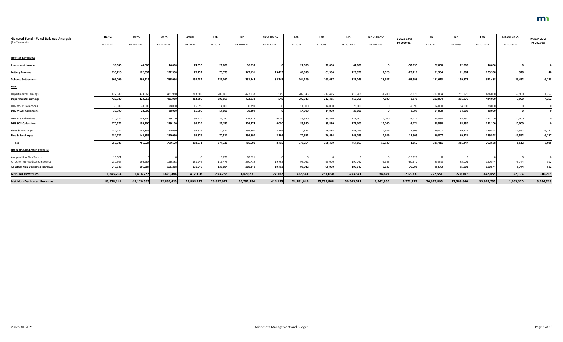| <b>General Fund - Fund Balance Analysis</b><br>(\$ in Thousands) | Dec <sub>SS</sub><br>FY 2020-21 | Dec <sub>SS</sub><br>FY 2022-23 | Dec <sub>SS</sub><br>FY 2024-25 | Actual<br>FY 2020 | Feb<br>FY 2021 | Feb<br>FY 2020-21 | Feb vs Dec SS<br>FY 2020-21 | Feb<br>FY 2022 | Feb<br>FY 2023 | Feb<br>FY 2022-23 | Feb vs Dec SS<br>FY 2022-23 | FY 2022-23 vs<br>FY 2020-21 | Feb<br>FY 2024 | Feb<br>FY 2025 | Feb<br>FY 2024-25 | Feb vs Dec SS<br>FY 2024-25 | FY 2024-25 vs<br>FY 2022-23 |
|------------------------------------------------------------------|---------------------------------|---------------------------------|---------------------------------|-------------------|----------------|-------------------|-----------------------------|----------------|----------------|-------------------|-----------------------------|-----------------------------|----------------|----------------|-------------------|-----------------------------|-----------------------------|
|                                                                  |                                 |                                 |                                 |                   |                |                   |                             |                |                |                   |                             |                             |                |                |                   |                             |                             |
| <b>Non-Tax Revenues:</b>                                         |                                 |                                 |                                 |                   |                |                   |                             |                |                |                   |                             |                             |                |                |                   |                             |                             |
| <b>Investment Income</b>                                         | 96,055                          | 44,000                          | 44,000                          | 74,055            | 22,000         | 96,055            |                             | 22,000         | 22,000         | 44,000            |                             | $-52,055$                   | 22,000         | 22,000         | 44,000            |                             |                             |
| <b>Lottery Revenue</b>                                           | 133,716                         | 122,392                         | 122,990                         | 70,752            | 76,379         | 147,131           | 13,415                      | 61,936         | 61,984         | 123,920           | 1,528                       | $-23,211$                   | 61,984         | 61,984         | 123,968           | 978                         |                             |
| <b>Tobacco Settlements</b>                                       | 306,099                         | 299,119                         | 288,036                         | 152,282           | 239,062        | 391,344           | 85,245                      | 164,109        | 163,637        | 327,746           | 28,627                      | $-63,598$                   | 161,613        | 159,875        | 321,488           | 33,452                      | $-6,258$                    |
| <b>Fees</b>                                                      |                                 |                                 |                                 |                   |                |                   |                             |                |                |                   |                             |                             |                |                |                   |                             |                             |
| <b>Departmental Earnings</b>                                     | 422,389                         | 423,968                         | 431,980                         | 213,869           | 209,069        | 422,938           | 549                         | 207,343        | 212,425        | 419,768           | $-4,200$                    | $-3,170$                    | 212,054        | 211,976        | 424,030           | $-7,950$                    | 4,262                       |
| <b>Departmental Earnings</b>                                     | 422,389                         | 423,968                         | 431,980                         | 213,869           | 209,069        | 422,938           | 549                         | 207,343        | 212,425        | 419,768           | $-4,200$                    | $-3,170$                    | 212,054        | 211,976        | 424,030           | $-7,950$                    | 4,262                       |
| <b>DHS MSOP Collections</b>                                      | 30,399                          | 28,000                          | 28,000                          | 16,399            | 14,000         | 30,399            |                             | 14,000         | 14,000         | 28,000            |                             | $-2,399$                    | 14,000         | 14,000         | 28,000            |                             |                             |
| <b>DHS MSOP Collections</b>                                      | 30,399                          | 28,000                          | 28,000                          | 16,399            | 14,000         | 30,399            |                             | 14,000         | 14,000         | 28,000            |                             | $-2,399$                    | 14,000         | 14,000         | 28,000            |                             | 0                           |
| DHS SOS Collections                                              | 170,274                         | 159,100                         | 159,100                         | 92,124            | 84,150         | 176,274           | 6,000                       | 85,550         | 85,550         | 171,100           | 12,000                      | $-5,174$                    | 85,550         | 85,550         | 171,100           | 12,000                      |                             |
| <b>DHS SOS Collections</b>                                       | 170,274                         | 159,100                         | 159,100                         | 92,124            | 84,150         | 176,274           | 6,000                       | 85,550         | 85,550         | 171,100           | 12,000                      | $-5,174$                    | 85,550         | 85,550         | 171,100           | 12,000                      | $\mathbf 0$                 |
| Fines & Surcharges                                               | 134,724                         | 145,856                         | 150,090                         | 66,379            | 70,511         | 136,890           | 2,166                       | 72,361         | 76,434         | 148,795           | 2,939                       | 11,905                      | 69,807         | 69,721         | 139,528           | $-10,562$                   | $-9,267$                    |
| <b>Fine &amp; Surcharges</b>                                     | 134,724                         | 145,856                         | 150,090                         | 66,379            | 70,511         | 136,890           | 2,166                       | 72,361         | 76,434         | 148,795           | 2,939                       | 11,905                      | 69,807         | 69,721         | 139,528           | $-10,562$                   | $-9,267$                    |
| Fees                                                             | 757,786                         | 756,924                         | 769,170                         | 388,771           | 377,730        | 766,501           | 8,715                       | 379,254        | 388,409        | 767,663           | 10,739                      | 1,162                       | 381,411        | 381,247        | 762,658           | $-6,512$                    | $-5,005$                    |
| <b>Other Non-Dedicated Revenue</b>                               |                                 |                                 |                                 |                   |                |                   |                             |                |                |                   |                             |                             |                |                |                   |                             |                             |
| Assigned Risk Plan Surplus                                       | 18,621                          |                                 |                                 |                   | 18,621         | 18,621            |                             | - 0            | 0              |                   |                             | $-18,621$                   | $\overline{0}$ | $\mathbf{0}$   |                   |                             |                             |
| All Other Non-Dedicated Revenue                                  | 230,927                         | 196,287                         | 196,288                         | 131,246           | 119,473        | 250,719           | 19,792                      | 95,042         | 95,000         | 190,042           | $-6,245$                    | $-60,67$                    | 95,543         | 95,001         | 190,544           | $-5,744$                    | 502                         |
| All Other Non-Dedicated Revenue                                  | 249,548                         | 196,287                         | 196,288                         | 131,246           | 138,094        | 269,340           | 19,792                      | 95,042         | 95,000         | 190,042           | $-6,245$                    | $-79,298$                   | 95,543         | 95,001         | 190,544           | $-5,744$                    | 502                         |
| <b>Non-Tax Revenues</b>                                          | 1,543,204                       | 1,418,722                       | 1,420,484                       | 817,106           | 853,265        | 1,670,371         | 127,167                     | 722,341        | 731,030        | 1,453,371         | 34,649                      | $-217,000$                  | 722,551        | 720,107        | 1,442,658         | 22,174                      | $-10,713$                   |
| <b>Net Non-Dedicated Revenue</b>                                 | 46,378,141                      | 49,120,567                      | 52,834,415                      | 22,894,322        | 23,897,972     | 46,792,294        | 414,153                     | 24,781,649     | 25,781,868     | 50,563,517        | 1,442,950                   | 3,771,223                   | 26,627,895     | 27,369,840     | 53,997,735        | 1,163,320                   | 3,434,218                   |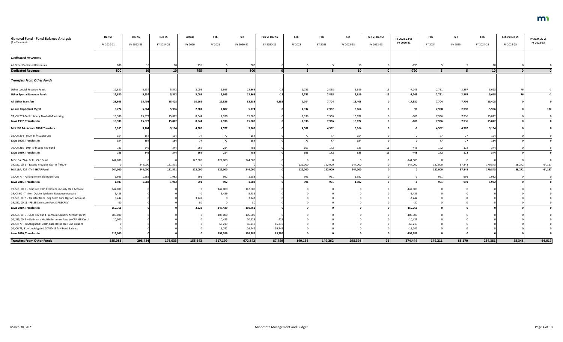| <b>General Fund - Fund Balance Analysis</b>                     | Dec SS     | Dec <sub>SS</sub> | Dec SS          | Actual  | Feb     | Feb        | Feb vs Dec SS | Feb     | Feb            | Feb        | Feb vs Dec SS | FY 2022-23 vs | Feb     | Feb     | Feb             | Feb vs Dec SS | FY 2024-25 vs |
|-----------------------------------------------------------------|------------|-------------------|-----------------|---------|---------|------------|---------------|---------|----------------|------------|---------------|---------------|---------|---------|-----------------|---------------|---------------|
| (\$ in Thousands)                                               | FY 2020-21 | FY 2022-23        | FY 2024-25      | FY 2020 | FY 2021 | FY 2020-21 | FY 2020-21    | FY 2022 | FY 2023        | FY 2022-23 | FY 2022-23    | FY 2020-21    | FY 2024 | FY 2025 | FY 2024-25      | FY 2024-25    | FY 2022-23    |
| <b>Dedicated Revenues</b>                                       |            |                   |                 |         |         |            |               |         |                |            |               |               |         |         |                 |               |               |
| All Other Dedicated Revenues                                    | 800        |                   |                 | 795     |         | 800        |               |         |                |            |               | $-790$        |         |         |                 |               |               |
| <b>Dedicated Revenue</b>                                        | 800        | 10 <sup>1</sup>   | 10 <sup>1</sup> | 795     | 5       | 800        |               |         | -5             | 10         |               | $-790$        |         |         | 10 <sup>1</sup> |               |               |
| <b>Transfers From Other Funds</b>                               |            |                   |                 |         |         |            |               |         |                |            |               |               |         |         |                 |               |               |
| Other special Revenue Funds                                     | 12,880     | 5,634             | 5,542           | 3,003   | 9,865   | 12,868     |               | 2,751   | 2,868          | 5,619      |               | $-7,249$      | 2,751   | 2,867   | 5,618           |               |               |
| <b>Other Special Revenue Funds</b>                              | 12,880     | 5,634             | 5,542           | 3,003   | 9,865   | 12,868     | $-12$         | 2,751   | 2,868          | 5,619      | $-15$         | $-7,249$      | 2,751   | 2,867   | 5,618           |               |               |
| <b>All Other Transfers</b>                                      | 28,603     | 15,408            | 15,408          | 10,162  | 22,826  | 32,988     | 4,385         | 7,704   | 7,704          | 15,408     |               | $-17,580$     | 7,704   | 7,704   | 15,408          |               |               |
| <b>Admin Dept-Plant Mgmt</b>                                    | 5,774      | 5,864             | 5,996           | 2,887   | 2,887   | 5,774      |               | 2,932   | 2,932          | 5,864      |               |               | 2,998   | 2,998   | 5,996           |               | 132           |
| 97, CH 239-Public Safety Alcohol Monitoring                     | 15,980     | 15,872            | 15,872          | 8,044   | 7,936   | 15,980     |               | 7,936   | 7,936          | 15,872     |               | $-108$        | 7,936   | 7,936   | 15,872          |               |               |
| Laws 1997, Transfers In                                         | 15,980     | 15,872            | 15,872          | 8,044   | 7,936   | 15,980     |               | 7,936   | 7,936          | 15,872     |               | $-108$        | 7,936   | 7,936   | 15,872          |               |               |
| M.S 16B.24 - Admin FR&R Transfers                               | 9,165      | 9,164             | 9,164           | 4,588   | 4,577   | 9,165      |               | 4,582   | 4,582          | 9,164      |               |               | 4,582   | 4,582   | 9,164           |               |               |
| 08, CH 364 - MDH Tr fr SGSR Fund                                | 154        | 154               | 154             | 77      | 77      | 154        |               | 77      | 77             | 154        |               |               | 77      | 77      | 154             |               |               |
| Laws 2008, Transfers In                                         | 154        | 154               | 154             | 77      | 77      | 154        |               | 77      | 77             | 154        |               |               | 77      | 77      | 154             |               |               |
| 10, CH 215 - DNR Tr fr Spec Rev Fund                            | 783        | 346               | 344             | 569     | 214     | 783        |               | 163     | 172            | 335        |               | $-443$        | 172     | 172     | 344             |               |               |
| Laws 2010, Transfers In                                         | 783        | 346               | 344             | 569     | 214     | 783        |               | 163     | 172            | 335        | $-11$         | $-448$        | 172     | 172     | 344             |               |               |
| M.S 16A. 724 - Tr fr HCAF Fund                                  | 244,000    |                   |                 | 122,000 | 122,000 | 244,000    |               | - 0     | $\overline{0}$ |            |               | $-244,000$    | - 0     | - 0     |                 |               | 0             |
| 19, SS1, Ch 6 - Extend Provider Tax - Tr fr HCAF                |            | 244,000           | 121,571         |         |         |            |               | 122,000 | 122,000        | 244,000    |               | 244,000       | 122,000 | 57,843  | 179,843         | 58,272        | $-64,157$     |
| M.S 16A. 724 - Tr fr HCAF Fund                                  | 244,000    | 244,000           | 121,571         | 122,000 | 122,000 | 244,000    |               | 122,000 | 122,000        | 244,000    |               |               | 122,000 | 57,843  | 179,843         | 58,272        | $-64,157$     |
| 15, CH 77 - Parking Internal Service Fund                       | 1,983      | 1,982             | 1,982           | 991     | 992     | 1,983      |               | 991     | 991            | 1,982      |               |               | 991     | 991     | 1,982           |               | $\Omega$      |
| Laws 2015, Transfers In                                         | 1,983      | 1,982             | 1,982           | 991     | 992     | 1,983      |               | 991     | 991            | 1,982      |               |               | 991     | 991     | 1,982           |               |               |
| 19, SS1, Ch 9 - Transfer from Premium Security Plan Account     | 142,000    |                   |                 |         | 142,000 | 142,000    |               |         |                |            |               | $-142,000$    |         |         |                 |               |               |
| 19, Ch 60 - Tr from Opiate Epidemic Response Account            | 5,439      |                   |                 |         | 5,439   | 5,439      |               |         |                |            |               | $-5,43$       |         |         |                 |               |               |
| 19, SS1, CH 9 - Transfer from Long Term Care Options Account    | 3,242      |                   |                 | 3,242   |         | 3,242      |               |         |                |            |               | $-3,24$       |         |         |                 |               |               |
| 19, SS1, CH11 - PELSB Licensure Fees (SPRECREV)                 |            |                   |                 | 80      |         |            |               |         |                |            |               |               |         |         |                 |               |               |
| Laws 2019, Transfers In                                         | 150,761    |                   |                 | 3,322   | 147,439 | 150,761    |               |         |                |            |               | $-150,761$    |         |         |                 |               |               |
| 20, SS5, CH 3 - Spec Rev Fund Premium Security Account (Tr In)  | 105,000    |                   |                 |         | 105,000 | 105,000    |               |         |                |            |               | $-105,000$    |         |         |                 |               |               |
| 20, SS5, CH 3 - Refinance Health Response Fund to CRF, GF Cancl | 10,000     |                   |                 |         | 10,425  | 10,425     |               |         |                |            |               | $-10,425$     |         |         |                 |               |               |
| 20, CH 70 - Unobligated Health Care Response Fund Balance       |            |                   |                 |         | 66,219  | 66,219     | 66,219        |         |                |            |               | $-66,219$     |         |         |                 |               |               |
| 20, CH 71, 81 - Unobligated COVID-19 MN Fund Balance            |            |                   |                 |         | 16,742  | 16,742     | 16,742        |         |                |            |               | $-16,742$     |         |         |                 |               |               |
| Laws 2020, Transfers In                                         | 115,000    |                   |                 |         | 198,386 | 198,386    | 83,386        |         |                |            |               | $-198,386$    |         |         |                 |               |               |
| <b>Transfers From Other Funds</b>                               | 585,083    | 298,424           | 176,033         | 155,643 | 517,199 | 672,842    | 87,759        | 149,136 | 149,262        | 298,398    | $-26$         | $-374,444$    | 149,211 | 85,170  | 234,381         | 58,348        | $-64,017$     |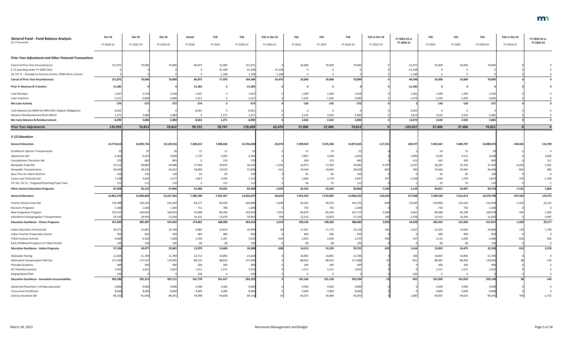| <b>General Fund - Fund Balance Analysis</b><br>(\$ in Thousands) | Dec SS     | Dec SS     | Dec SS          | Actual    | Feb       | Feb        | Feb vs Dec SS | Feb       | Feb            | Feb        | Feb vs Dec SS | FY 2022-23 vs | Feb            | Feb       | Feb        | Feb vs Dec SS | FY 2024-25 vs |
|------------------------------------------------------------------|------------|------------|-----------------|-----------|-----------|------------|---------------|-----------|----------------|------------|---------------|---------------|----------------|-----------|------------|---------------|---------------|
|                                                                  | FY 2020-21 | FY 2022-23 | FY 2024-25      | FY 2020   | FY 2021   | FY 2020-21 | FY 2020-21    | FY 2022   | FY 2023        | FY 2022-23 | FY 2022-23    | FY 2020-21    | FY 2024        | FY 2025   | FY 2024-25 | FY 2024-25    | FY 2022-23    |
| <b>Prior Year Adjustment and Other Financial Transactions</b>    |            |            |                 |           |           |            |               |           |                |            |               |               |                |           |            |               |               |
| Cancel of Prior Year Encumbrances                                | 121,872    | 70,000     | 70,000          | 86,872    | 35,000    | 121,872    |               | 35,000    | 35,000         | 70,000     |               | $-51,872$     | 35,000         | 35,000    | 70,000     |               |               |
| E-12 spending under FY 2020 Close                                |            |            |                 |           | 41,328    | 41,328     | 41,328        |           |                |            |               | $-41,328$     |                |           |            |               |               |
| 20, CH 71 - Emergency Services Grants, FEMA Reim./Cancel         |            |            |                 |           | 1,148     | 1,148      | 1,148         |           |                |            |               | $-1,148$      |                |           |            |               |               |
| <b>Cancel of Prior Year Encumbrances</b>                         | 121,872    | 70,000     | 70,000          | 86,872    | 77,476    | 164,348    | 42,476        | 35,000    | 35,000         | 70,000     |               | $-94,348$     | 35,000         | 35,000    | 70,000     |               |               |
| <b>Prior Yr Revenue &amp; Transfers</b>                          | 21,385     |            |                 | 21,385    |           | 21,385     |               |           | $\Omega$       |            |               | $-21,385$     | $\Omega$       |           |            |               |               |
| Loan Receipts                                                    | 1,037      | 2,418      | 2,418           | 1,037     |           | 1,037      |               | 1,209     | 1,209          | 2,418      |               | 1,381         | 1,209          | 1,209     | 2,418      |               |               |
| Loan Issuances                                                   | $-1,311$   | $-2,690$   | $-2,690$        | $-1,311$  |           | $-1,311$   |               | $-1,345$  | $-1,345$       | $-2,690$   |               | $-1,379$      | $-1,345$       | $-1,345$  | $-2,690$   |               |               |
| <b>Net Loan Activity</b>                                         | $-274$     | $-272$     | $-272$          | $-274$    |           | $-274$     |               | $-136$    | $-136$         | $-272$     |               |               | $-136$         | $-136$    | $-272$     |               |               |
| Cash Advance (to MSFA for MPLS NFL Stadium Obligation)           | $-8,261$   |            |                 | $-8,261$  |           | $-8,261$   |               |           | $\overline{0}$ |            |               | 8,261         | $\overline{0}$ | $\Omega$  |            |               |               |
| Advance Reimbursement (from MPLS)                                | 1,271      | 5,084      | 5,084           |           | 1,271     | 1,271      |               | 2,542     | 2,542          | 5,084      |               | 3,81          | 2,542          | 2,542     | 5,084      |               |               |
| Net Cash Advance & Reimbursement                                 | $-6,990$   | 5,084      | 5,084           | $-8,261$  | 1,271     | $-6,990$   |               | 2,542     | 2,542          | 5,084      |               | 12,074        | 2,542          | 2,542     | 5,084      |               |               |
| <b>Prior Year Adjustments</b>                                    | 135,993    | 74,812     | 74,812          | 99,722    | 78,747    | 178,469    | 42,476        | 37,406    | 37,406         | 74,812     | n l           | $-103,657$    | 37,406         | 37,406    | 74,812     |               |               |
| <b>E-12 Education</b>                                            |            |            |                 |           |           |            |               |           |                |            |               |               |                |           |            |               |               |
| <b>General Education</b>                                         | 14,773,612 | 14,992,716 | 15,129,51       | 7,338,212 | 7,408,426 | 14,746,638 | $-26,974$     | 7,399,019 | 7,476,346      | 14,875,36  | $-117,351$    | 128,727       | 7,503,367      | 7,485,707 | 14,989,074 | $-140,442$    | 113,709       |
| <b>Enrollment Options Transportation</b>                         |            |            |                 | 11        | 11        |            |               | 12        | 13             |            |               |               | 14             | 15        |            |               |               |
| Abatement Aid                                                    | 4,365      | 6,455      | 9,058           | 1,770     | 2,595     | 4,365      |               | 2,897     | 3,558          | 6,455      |               | 2,090         | 4,546          | 4,512     | 9,058      |               | 2,603         |
| <b>Consolidation Transition Aid</b>                              | 270        | 682        | 893             |           | 270       |            |               | 309       | 373            | 682        |               | -41           | 443            | 450       | 893        |               | 211           |
| Nonpublic Pupil Aid                                              | 37,211     | 40,869     | 44,08           | 17,456    | 18,653    | 36,109     | $-1,102$      | 16,873    | 17,209         | 34,08      | $-6,787$      | $-2,027$      | 18,287         | 19,156    | 37,443     | $-6,643$      | 3,361         |
| Nonpublic Transportation                                         | 38,399     | 39,230     | 40,262          | 18,809    | 19,029    | 37,838     | $-561$        | 19,344    | 19,084         | 38,42      |               | 59            | 19,463         | 19,945    | 39,408     | $-854$        | 980           |
| Spec Prov for Select Districts                                   |            | <b>130</b> |                 | 65        | 65        |            |               |           | 65             |            |               |               |                |           |            |               |               |
| Career and Technical Aid                                         | 7,148      | 4.650      | 3,277           | 3,857     | 3,296     | 7,153      |               | 2,668     | 2,279          | 4.947      |               | $-2,206$      | 1,944          | 1.709     | 3.653      |               | $-1,294$      |
| 19, SS1, CH 11 - Pregnant/Parenting Pupil Trans                  | 112        | 111        | 11 <sub>C</sub> |           | 112       | 11.        |               | 56        | 55             |            |               |               | 55             | 55        | 110        |               | $-1$          |
| <b>Other General Education Programs</b>                          | 87,658     | 92,152     | 97,846          | 41,968    | 44,031    | 85,999     | $-1,659$      | 42,224    | 42,636         | 84,860     | $-7,292$      | $-1,139$      | 44,817         | 45,907    | 90,724     | $-7,122$      | 5,864         |
| <b>General Education</b>                                         | 14,861,270 | 15,084,868 | 15,227,36       | 7,380,180 | 7,452,457 | 14,832,637 | $-28,633$     | 7,441,243 | 7,518,982      | 14,960,225 | $-124,643$    | 127,588       | 7,548,184      | 7,531,614 | 15,079,798 | $-147,564$    | 119,573       |
| Charter School Lease Aid                                         | 170,788    | 193,433    | 216,283         | 83,171    | 85,918    | 169,089    | $-1,699$      | 93,181    | 99,553         | 192,734    | $-699$        | 23,645        | 104,809        | 110,150   | 214,959    | $-1,324$      | 22,225        |
| Recovery Programs                                                | 1,500      | 1,500      | 1,500           | 712       | 788       | 1,500      |               | 750       | 750            | 1,500      |               |               | 750            | 750       | 1,500      |               |               |
| New Integration Program                                          | 155,551    | 163,604    | 169,923         | 76,848    | 86,204    | 163,052    | 7,501         | 83,879    | 83,234         | 167,113    | 3,509         | 4,061         | 84,380         | 85,198    | 169,578    | $-345$        | 2,465         |
| Interdistrict Desegregation Transportation                       | 29,193     | 26,950     | 31,620          | 14,231    | 15,670    | 29,901     | 708           | 12,310    | 14,823         | 27,133     | 183           | $-2,768$      | 15,414         | 16,206    | 31,620     |               | 4,487         |
| <b>Education Excellence - Choice Programs</b>                    | 357,032    | 385,487    | 419,326         | 174,962   | 188,580   | 363,542    | 6,510         | 190,120   | 198,360        | 388,480    | 2,993         | 24,938        | 205,353        | 212,304   | 417,657    | $-1,669$      | 29,177        |
| Indian Education Formula Aid                                     | 20,471     | 22,861     | 24,748          | 9,685     | 10,814    | 20,499     |               | 11,351    | 11,775         | 23,126     | 265           | 2,627         | 12,203         | 12,663    | 24,866     | 118           | 1,740         |
| Indian Teacher Preparation Grants                                | 920        | 920        | 920             | 460       | 460       | 920        |               | 460       | 460            | 920        |               |               | 460            | 460       | 920        |               |               |
| <b>Tribal Contract Schools</b>                                   | 5,669      | 6,160      | 7,038           | 2,766     | 2,267     | 5,033      | -63           | 2,634     | 2,936          | 5,570      | $-590$        | 53            | 3,122          | 3,284     | 6,406      |               | 836           |
| Early Childhood Programs at Tribal Schools                       | 136        | 136        | 136             | 68        | 68        |            |               | 68        | 68             | 136        |               |               | 68             | 68        | 136        |               |               |
| <b>Education Excellence - Indian Programs</b>                    | 27,196     | 30,077     | 32,842          | 12,979    | 13,609    | 26,588     | $-608$        | 14,513    | 15,239         | 29,752     | $-325$        | 3,164         | 15,853         | 16,475    | 32,328     | $-514$        | 2,576         |
| <b>Statewide Testing</b>                                         | 21,604     | 21,784     | 21,784          | 10,712    | 10,892    | 21,604     |               | 10,892    | 10,892         | 21,784     |               | 180           | 10,892         | 10,892    | 21,784     |               |               |
| Alternative Compensation Roll Out                                | 177,930    | 177,107    | 176,905         | 89,125    | 88,814    | 177,939    |               | 88,563    | 88,525         | 177,088    |               | $-85$         | 88,487         | 88,456    | 176,943    |               | $-145$        |
| Principal Academy                                                | 400        | 400        | 400             | 200       | 200       | 40         |               | 200       | 200            | 400        |               |               | 200            | 200       | 400        |               |               |
| <b>ACT Reimbursements</b>                                        | 3,022      | 3,027      | 3,022           | 1,511     | 1,511     | 3,022      |               | 1,511     | 1,511          | 3,022      |               |               | 1,511          | 1,511     | 3,022      |               |               |
| <b>Singing Based Pilot</b>                                       | 230        |            |                 | 230       |           | 230        |               | $\Omega$  | $\overline{0}$ |            |               | $-230$        | - 0            | $\Omega$  |            |               |               |
| <b>Education Excellence - Innovation Accountability</b>          | 203,186    | 202,313    | 202,11          | 101,778   | 101,417   | 203,195    |               | 101,166   | 101,128        | 202,294    | $-19$         | $-901$        | 101,090        | 101,059   | 202,149    |               | $-145$        |
| Advanced Placement / Intl Baccalaureate                          | 9,000      | 9,000      | 9,000           | 4,498     | 4,502     | 9,000      |               | 4,500     | 4,500          | 9,000      |               |               | 4,500          | 4,500     | 9,000      |               |               |
| <b>Concurrent Enrollment</b>                                     | 8,000      | 8,000      | 8,000           | 4,000     | 4,000     | 8,000      |               | 4,000     | 4,000          | 8,000      |               |               | 4,000          | 4,000     | 8,000      |               |               |
| Literacy Incentive Aid                                           | 89,102     | 91,043     | 88,59           | 44,498    | 44,658    | 89,156     |               | 45,075    | 45,968         | 91,043     |               | 1,88          | 44,667         | 44,624    | 89,291     |               | $-1,752$      |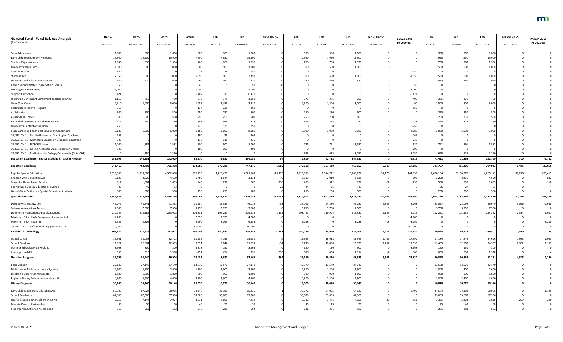| <b>General Fund - Fund Balance Analysis</b><br>(\$ in Thousands)    | Dec SS     | Dec <sub>SS</sub> | Dec SS     | Actual    | Feb       | Feb        | Feb vs Dec SS | Feb       | Feb       | Feb        | Feb vs Dec SS | FY 2022-23 vs | Feb       | Feb       | Feb        | Feb vs Dec SS | FY 2024-25 vs<br>FY 2022-23 |
|---------------------------------------------------------------------|------------|-------------------|------------|-----------|-----------|------------|---------------|-----------|-----------|------------|---------------|---------------|-----------|-----------|------------|---------------|-----------------------------|
|                                                                     | FY 2020-21 | FY 2022-23        | FY 2024-25 | FY 2020   | FY 2021   | FY 2020-21 | FY 2020-21    | FY 2022   | FY 2023   | FY 2022-23 | FY 2022-23    | FY 2020-21    | FY 2024   | FY 2025   | FY 2024-25 | FY 2024-25    |                             |
| Serve Minnesota                                                     | 1,800      | 1,800             | 1,800      | 900       | 900       | 1,800      |               | 900       | 900       | 1,800      |               |               | 900       | 900       | 1,800      |               |                             |
| Early Childhood Literacy Programs                                   | 15,900     | 15,900            | 15,900     | 7,950     | 7,950     | 15,900     |               | 7,950     | 7,950     | 15,900     |               |               | 7,950     | 7,950     | 15,900     |               |                             |
| <b>Student Organizations</b>                                        | 1,536      | 1,53(             | 1,536      | 768       | 768       | 1,536      |               | 768       | 768       | 1,536      |               |               | 768       | 768       | 1,536      |               |                             |
| Minnesota Math Corps                                                | 1,000      | 1,000             | 1,000      | 500       | 500       | 1,000      |               | 500       | 500       | 1,000      |               |               | 500       | 500       | 1,000      |               |                             |
| <b>Civics Education</b>                                             |            |                   |            | 75        | 75        | 150        |               |           | $\Omega$  |            |               | -150          |           |           |            |               |                             |
| Starbase MN                                                         | 2,350      | 1,000             | 1,000      | 1,850     | 500       | 2,350      |               | 500       | 500       | 1,000      |               | $-1,350$      | 500       | 500       | 1,000      |               |                             |
| Museums and Educational Centers                                     | 920        | 920               | 920        | 460       | 460       | 920        |               | 460       | 460       | 920        |               |               | 460       | 460       | 920        |               |                             |
|                                                                     |            |                   |            |           |           |            |               |           |           |            |               |               |           |           |            |               |                             |
| Race 2 Reduce Water Conservation Grants                             |            |                   |            | 45        |           |            |               |           |           |            |               |               |           |           |            |               |                             |
| NW Regional Partnership                                             | 1,000      |                   |            | 1,000     |           | 1,000      |               |           |           |            |               | $-1,000$      |           |           |            |               |                             |
| Support Our Schools                                                 | 6,421      |                   |            | 6,402     |           | 6,421      |               |           |           |            |               | $-6,42$       |           |           |            |               |                             |
| Statewide Concurrent Enrollment Teacher Training                    | 1,150      | 750               | 750        | 775       | 375       | 1,150      |               | 375       | 375       | 750        |               | $-400$        | 375       | 375       | 750        |               |                             |
| Grow Your Own                                                       | 2,910      | 3,000             | 3,000      | 1,455     | 1,455     | 2,910      |               | 1,500     | 1,500     | 3,000      |               |               | 1,500     | 1,500     | 3,000      |               |                             |
| Certificate Incentive Program                                       |            |                   |            | 134       | 726       | 860        |               |           | - 0       |            |               |               |           |           |            |               |                             |
| Ag Educators                                                        |            | 500               | 500        | 250       | 250       | 500        |               | 250       | 250       | 500        |               |               | 250       | 250       | 500        |               |                             |
| AP/IB STEM Grants                                                   |            | 500               | 500        | 250       | 250       | 500        |               | 250       | 250       | 500        |               |               | 250       | 250       | 500        |               |                             |
| <b>Expanded Concurrent Enrollment Grants</b>                        |            | 75                | 750        | 343       | 369       |            |               | 375       | 375       | 750        |               |               | 375       | 375       |            |               |                             |
| Minnesota Center for the Book                                       |            |                   |            | 125       | 125       | 250        |               |           | $\Omega$  |            |               |               |           |           |            |               |                             |
| Rural Career and Technical Education Consortium                     | 8,185      | 6,000             | 6,000      | 5,185     | 3,000     | 8,185      |               | 3,000     | 3,000     | 6,000      |               | $-2,185$      | 3,000     | 3,000     | 6,000      |               |                             |
| 19, SS1, CH 11 - Suicide Prevention Training for Teachers           | 265        |                   |            | 190       | 75        | 265        |               |           |           |            |               | $-265$        |           |           |            |               |                             |
| 19, SS1, CH 11 - Minnesota Council on Economic Education            | 235        |                   |            | 117       | 118       | 235        |               |           |           |            |               | $-235$        |           |           |            |               |                             |
| 19, SS1, CH 11 - P-TECH Schools                                     | 1,000      | 1,582             | 1,582      | 500       | 500       | 1,000      |               | 791       | 791       | 1,582      |               | 582           | 791       | 791       | 1,582      |               |                             |
| 19, SS1, CH 11 - Online Access to Music Education Grants            | 200        |                   |            | 100       | 100       | 200        |               |           | $\Omega$  |            |               | $-200$        |           |           |            |               |                             |
| 19, SS1, CH 11 - MN Indep Life College/Community (Tr to OHE)        |            | 1,250             | 1,250      |           |           |            |               | 625       | 625       | 1,250      |               | 1,250         | 625       | 625       | 1,250      |               |                             |
| <b>Education Excellence - Special Student &amp; Teacher Program</b> | 153,996    | 144,531           | 142,079    | 82,370    | 71,680    | 154,050    |               | 71,819    | 72,712    | 144,531    |               | $-9,519$      | 71,411    | 71,368    | 142,779    | 700           | $-1,752$                    |
| <b>Education Excellence</b>                                         | 741,410    | 762,408           | 796,358    | 372,089   | 375,286   | 747,375    | 5,965         | 377,618   | 387,439   | 765,057    | 2,649         | 17,682        | 393,707   | 401,206   | 794,913    | $-1,445$      | 29,856                      |
| <b>Regular Special Education</b>                                    | 3,336,968  | 3,818,905         | 4,352,418  | 1,596,279 | 1,725,490 | 3,321,769  | $-15,199$     | 1,821,955 | 1,944,772 | 3,766,727  | $-52,178$     | 444,958       | 2,070,164 | 2,194,978 | 4,265,142  | $-87,276$     | 498,415                     |
| Children with Disabilities Aid                                      | 3,133      | 3,828             | 4,670      | 1,489     | 1,644     | 3,133      |               | 1,818     | 2,010     | 3,828      |               | 695           | 2,220     | 2,450     | 4,670      |               | 842                         |
| Travel for Home Based Services                                      | 912        | 1,001             | 1,095      | 445       | 237       |            |               | 465       | 512       | 977        |               | 295           | 536       | 559       | 1,095      |               |                             |
| <b>Court Placed Special Education Revenue</b>                       |            |                   |            |           |           |            |               | 24        | 25        |            |               |               | 26        | 27        |            |               |                             |
| Out-of-State Tuition for Special Education Students                 | 500        | 500               | 500        | 250       | 250       | 500        |               | 250       | 250       | 500        |               |               | 250       | 250       | 500        |               |                             |
| <b>Special Education</b>                                            | 3,341,536  | 3,824,283         | 4,358,736  | 1,598,463 | 1,727,621 | 3,326,084  | $-15,452$     | 1,824,512 | 1,947,569 | 3,772,081  | $-52,202$     | 445,997       | 2,073,196 | 2,198,264 | 4,271,460  | $-87,276$     | 499,379                     |
| Debt Service Equalization                                           | 46,072     | 43,941            | 41,553     | 20,684    | 25,335    | 46,019     |               | 25,001    | 24,286    | 49,287     | 5,346         | 3,268         | 23,557    | 23,092    | 46,649     | 5,096         | $-2,638$                    |
| <b>Telecommunications Access</b>                                    | 7,500      | 7,500             | 7,500      | 3,750     | 3,750     | 7,500      |               | 3,750     | 3,750     | 7,500      |               |               | 3,750     | 3,750     | 7,500      |               |                             |
| Long-Term Maintenance Equalization Aid                              | 210,747    | 218,182           | 223,018    | 103,331   | 106,281   | 209,612    | $-1,135$      | 108,427   | 110,904   | 219,331    | 1,149         | 9,719         | 112,221   | 113,131   | 225,352    | 2,334         | 6,021                       |
| Maximum Effort Early Repayment Incentive Aid                        | 4,700      |                   |            | 2,350     | 2,350     | 4,700      |               | - 0       | 0         |            |               | $-4,700$      |           |           |            |               |                             |
| Maximum Effort Loan Aid                                             | 6,555      | 3,306             |            | 3,290     | 3,265     | 6,555      |               | 3,288     | $\cap$    | 3,288      |               | $-3,26$       |           |           |            |               | $-3,288$                    |
| 19, SS1, CH 11 - Safe Schools Supplemental Aid                      | 30,000     |                   |            | 30,000    |           | 30,000     |               |           |           |            |               | $-30,000$     |           |           |            |               |                             |
| <b>Facilities &amp; Technology</b>                                  | 305,574    | 272,929           | 272,071    | 163,405   | 140,981   | 304,386    | $-1,188$      | 140,466   | 138,940   | 279,406    | 6,477         | $-24,980$     | 139,528   | 139,973   | 279,501    | 7,430         | 95                          |
| School Lunch                                                        | 15,951     | 32,058            | 32,703     | 11,155    | 4,796     | 15,951     |               | 16,625    | 16,918    | 33,543     | 1,485         | 17,592        | 17,184    | 17,442    | 34,626     | 1,923         | 1,083                       |
| School Breakfast                                                    | 11,327     | 22,064            | 22,605     | 8,051     | 3,242     | 11,293     |               | 11,738    | 12,090    | 23,828     | 1,764         | 12,535        | 12,405    | 12,582    | 24,987     | 2,382         | 1,159                       |
| Summer School Service Repl Aid                                      | 8,968      | 300               | 300        | 8,818     | 150       | 8,968      |               | 150       | 150       | 300        |               | $-8,668$      | 150       | 150       | 30         |               |                             |
| Kindergarten Milk                                                   | 553        | 1,318             | 1,318      | 457       | 494       | 951        | 398           | 656       | 658       | 1,314      |               | 363           | 659       | 659       | 1,318      |               |                             |
|                                                                     |            |                   |            |           |           |            |               |           |           |            |               |               |           |           |            |               |                             |
| <b>Nutrition Programs</b>                                           | 36,799     | 55,740            | 56,926     | 28,481    | 8,682     | 37,163     | 364           | 29,169    | 29,816    | 58,985     | 3,245         | 21,822        | 30,398    | 30,833    | 61,231     | 4,305         | 2,246                       |
| <b>Basic Support</b>                                                | 27,140     | 27,140            | 27,140     | 13,570    | 13,570    | 27,140     |               | 13,570    | 13,570    | 27,140     |               |               | 13,570    | 13,570    | 27,140     |               |                             |
| Multicounty, Multitype Library Systems                              | 2,600      | 2,600             | 2,600      | 1,300     | 1,300     | 2,600      |               | 1,300     | 1,300     | 2,600      |               |               | 1,300     | 1,300     | 2,600      |               |                             |
| Electronic Library for Minnesota                                    | 1,800      | 1,800             | 1,800      | 900       | 900       | 1,800      |               | 900       | 900       | 1,800      |               |               | 900       | 900       | 1,800      |               |                             |
| Regional Library Telecommunications Aid                             | 4,600      | 4,60              | 4,600      | 2,300     | 2,300     | 4,600      |               | 2,300     | 2,300     | 4,600      |               |               | 2,300     | 2,300     | 4,600      |               |                             |
| <b>Library Programs</b>                                             | 36,140     | 36,140            | 36,140     | 18,070    | 18,070    | 36,140     |               | 18,070    | 18,070    | 36,140     |               |               | 18,070    | 18,070    | 36,140     |               |                             |
| Early Childhood Family Education Aid                                | 65,336     | 67,824            | 68,956     | 32,147    | 33,188    | 65,335     |               | 33,772    | 34,055    | 67,827     |               | 2,492         | 34,574    | 34,382    | 68,956     |               | 1,129                       |
| <b>School Readiness</b>                                             | 67,366     | 67,366            | 67,366     | 33,683    | 33,683    | 67,366     |               | 33,683    | 33,683    | 67,366     |               |               | 33,683    | 33,683    | 67,366     |               |                             |
| Health & Developmental Screening Aid                                | 7,219      | 7,144             | 7,027      | 3,611     | 3,608     | 7,219      |               | 3,582     | 3,476     | 7,058      |               |               | 3,395     | 3,423     | 6,818      |               | -240                        |
| <b>Educate Parents Partnership</b>                                  |            |                   | -98        | 48        | 50        |            |               | 49        | 49        | 98         |               |               | 49        | -49       |            |               |                             |
| Kindergarten Entrance Assessment                                    | 562        | 562               | 562        | 276       | 286       | 562        |               | 281       | 281       | 562        |               |               | 281       | 281       | 562        |               |                             |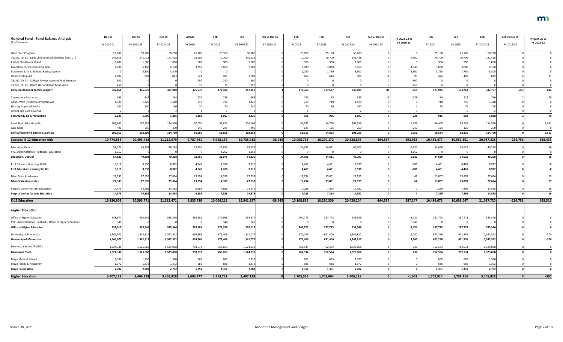| <b>General Fund - Fund Balance Analysis</b>               | Dec SS     | Dec SS     | Dec SS          | Actual    | Feb        | Feb        | Feb vs Dec SS | Feb        | Feb            | Feb        | Feb vs Dec SS | FY 2022-23 vs | Feb        | Feb        | Feb             | Feb vs Dec SS | FY 2024-25 vs |
|-----------------------------------------------------------|------------|------------|-----------------|-----------|------------|------------|---------------|------------|----------------|------------|---------------|---------------|------------|------------|-----------------|---------------|---------------|
| (\$ in Thousands)                                         | FY 2020-21 | FY 2022-23 | FY 2024-25      | FY 2020   | FY 2021    | FY 2020-21 | FY 2020-21    | FY 2022    | FY 2023        | FY 2022-23 | FY 2022-23    | FY 2020-21    | FY 2024    | FY 2025    | FY 2024-25      | FY 2024-25    | FY 2022-23    |
| <b>Head Start Program</b>                                 | 50,200     | 50,200     | 50,200          | 25,100    | 25,100     | 50,200     |               | 25,100     | 25,100         | 50,200     |               |               | 25,100     | 25,100     | 50,200          |               |               |
| 19, SS1, CH 11 - Early Childhood Scholarships (TR OUT)    | 145,918    | 141,418    | 141,418         | 75,209    | 70,709     | 145,918    |               | 70,709     | 70,709         | 141,418    |               | $-4,500$      | 70,709     | 70,709     | 141,418         |               |               |
| Parent Child Home Grant                                   | 1,800      | 1,800      | 1,800           | 900       | 900        | 1,800      |               | 900        | 900            | 1,800      |               |               | 900        | 900        | 1,800           |               |               |
| <b>Education Partnerships Coalition</b>                   | 7,700      | 6,160      | 6,160           | 3,850     | 3,850      | 7,700      |               | 3,080      | 3,080          | 6,160      |               | $-1,540$      | 3,080      | 3,080      | 6,160           |               |               |
| Statewide Early Childhood Rating System                   |            | 3,500      | 3,500           |           |            |            |               | 1,750      | 1,750          | 3,500      |               | 3,500         | 1,750      | 1,750      | 3,500           |               |               |
| Home Visiting Aid                                         | 1,002      | 907        | 82 <sup>2</sup> | 521       | 481        | 1,002      |               | 462        | 444            | 906        |               |               | 424        | 405        |                 |               |               |
| 19, SS1, CH 11 - College Savings Account Pilot Program    |            |            |                 | 250       | 250        | 500        |               |            | $\Omega$       |            |               | $-500$        |            |            |                 |               |               |
| 19, SS1, CH 11 - Reach Out and Read Minnesota             |            |            |                 | 75        | 75         |            |               |            |                |            |               |               |            |            |                 |               |               |
| <b>Early Childhood &amp; Family Support</b>               | 347,851    | 346,979    | 347,910         | 175,670   | 172,180    | 347,850    |               | 173,368    | 173,527        | 346,895    |               | $-955$        | 173,945    | 173,762    | 347,707         | $-203$        | 812           |
| <b>Community Education</b>                                |            | 344        | 254             | 327       | 236        | 563        |               | 180        | 155            | 335        |               | $-228$        | 134        | 122        | 25 <sub>0</sub> |               |               |
| Adults With Disabilities Program Aid                      | 1,420      | 1,420      | 1,420           | 710       | 710        | 1,420      |               | 710        | 710            | 1,420      |               |               | 710        | 710        | 1,420           |               |               |
| <b>Hearing Impaired Adults</b>                            |            |            | 140             | 70        | 70         |            |               |            | 70             | 140        |               |               |            |            | 14              |               |               |
| School Age Care Revenue                                   |            |            |                 |           |            |            |               |            |                |            |               |               |            |            |                 |               |               |
| <b>Community Ed &amp; Prevention</b>                      | 2,125      | 1,906      | 1,816           | 1,108     | 1,017      | 2,125      |               | 961        | 936            | 1,897      |               | $-228$        | 915        | 903        | 1,818           |               | $-79$         |
| <b>Adult Basic Education Aid</b>                          | 101,663    | 107,959    | 114,510         | 50,050    | 51,613     | 101,663    |               | 53,191     | 54,768         | 107,959    |               | 6,296         | 56,409     | 58,101     | 114,510         |               | 6,551         |
| <b>GED Tests</b>                                          | 49         | 250        | 250             | 245       | 245        | 490        |               | 125        | 125            | 250        |               | $-240$        | 125        | 125        | 25              |               |               |
| Self-Sufficiency & Lifelong Learning                      | 102,153    | 108,209    | 114,760         | 50,295    | 51,858     | 102,153    |               | 53,316     | 54,893         | 108,209    |               | 6,056         | 56,534     | 58,226     | 114,760         |               | 6,551         |
| <b>Subtotal E-12 Education Aids</b>                       | 19,774,858 | 20,493,462 | 21,212,079      | 9,787,761 | 9,948,152  | 19,735,913 | $-38,945$     | 10,058,723 | 10,270,172     | 20,328,895 | $-164,567$    | 592,982       | 10,434,477 | 10,552,851 | 20,987,328      | $-224,751$    | 658,433       |
| Education, Dept of                                        | 53,573     | 49,202     | 49,258          | 23,750    | 29,823     | 53,573     |               | 24,591     | 24,611         | 49,202     |               | $-4,37$       | 24,629     | 24,629     | 49,258          |               |               |
| FY21 Administrative Holdback - Education                  | 1,252      |            |                 | - 0       | 1,252      | 1,252      |               | $\Omega$   | $\overline{0}$ |            |               | $-1,252$      |            |            |                 |               |               |
| <b>Education, Dept of</b>                                 | 54,825     | 49,202     | 49,258          | 23,750    | 31,075     | 54,825     |               | 24,591     | 24,611         | 49,202     |               | $-5,623$      | 24,629     | 24,629     | 49,258          |               | 56            |
| Prof Educator Licensing Std Bd.                           | 9,111      | 8,930      | 8,922           | 4,345     | 4,766      | 9,111      |               | 4,469      | 4,461          | 8,930      |               | $-18$         | 4,461      | 4,461      | 8,922           |               |               |
| Prof Educator Licensing Std Bd.                           | 9,111      | 8,930      | 8,922           | 4,345     | 4,766      | 9,111      |               | 4,469      | 4,461          | 8,930      |               | -181          | 4.461      | 4,461      | 8,922           |               |               |
| Minn State Academies                                      | 27,533     | 27,595     | 27,614          | 13,194    | 14,339     | 27,533     |               | 13,794     | 13,801         | 27,595     |               |               | 13,807     | 13,807     | 27,614          |               |               |
| <b>Minn State Academies</b>                               | 27,533     | 27,595     | 27,614          | 13,194    | 14,339     | 27,533     |               | 13,794     | 13,801         | 27,595     |               | 62            | 13,807     | 13,807     | 27,614          |               | 19            |
| Perpich Center for Arts Education                         | 14,575     | 14,582     | 14,598          | 6,689     | 7,886      | 14,575     |               | 7,288      | 7,294          | 14,582     |               |               | 7,299      | 7,299      | 14,598          |               |               |
| <b>Perpich Center for Arts Education</b>                  | 14,575     | 14,582     | 14,598          | 6,689     | 7,886      | 14,575     |               | 7,288      | 7,294          | 14,582     |               |               | 7,299      | 7,299      | 14,598          |               | 16            |
| <b>E-12 Education</b>                                     | 19,880,902 | 20,593,771 | 21,312,471      | 9,835,739 | 10,006,218 | 19,841,957 | $-38,945$     | 10,108,865 | 10,320,339     | 20,429,204 | $-164,567$    | 587,247       | 10,484,673 | 10,603,047 | 21,087,720      | $-224,751$    | 658,516       |
| <b>Higher Education</b>                                   |            |            |                 |           |            |            |               |            |                |            |               |               |            |            |                 |               |               |
| Office of Higher Education                                | 538,677    | 535,546    | 535,546         | 263,681   | 274,996    | 538,677    |               | 267,773    | 267,773        | 535,546    |               | $-3,13$       | 267,773    | 267,773    | 535,546         |               |               |
| FY21 Administrative Holdback - Office of Higher Education |            |            |                 |           | 340        |            |               | $\Omega$   | $\overline{0}$ |            |               | $-340$        |            |            |                 |               |               |
| <b>Office of Higher Education</b>                         | 539,017    | 535,546    | 535,546         | 263,681   | 275,336    | 539,017    |               | 267,773    | 267,773        | 535,546    |               | $-3,471$      | 267,773    | 267,773    | 535,546         |               |               |
| University of Minnesota                                   | 1,341,072  | 1,342,812  | 1,342,512       | 669,666   | 671,406    | 1,341,072  |               | 671,406    | 671,406        | 1,342,812  |               | 1,740         | 671,256    | 671,256    | 1,342,512       |               | $-300$        |
| <b>University of Minnesota</b>                            | 1,341,072  | 1,342,812  | 1,342,512       | 669,666   | 671,406    | 1,341,072  |               | 671,406    | 671,406        | 1,342,812  |               | 1,740         | 671,256    | 671,256    | 1,342,512       |               | $-300$        |
| Minnesota State (TR OUT)                                  | 1,524,338  | 1,525,068  | 1,525,068       | 758,679   | 765,659    | 1,524,338  |               | 762,534    | 762,534        | 1,525,068  |               | 730           | 762,534    | 762,534    | 1,525,068       |               |               |
| <b>Minnesota State</b>                                    | 1,524,338  | 1,525,068  | 1,525,068       | 758,679   | 765,659    | 1,524,338  |               | 762,534    | 762,534        | 1,525,068  |               | 730           | 762,534    | 762,534    | 1,525,068       |               |               |
| Mayo Medical School                                       | 1,330      | 1,330      | 1,330           | 665       | 665        | 1,330      |               | 665        | 665            | 1,330      |               |               | 665        | 665        | 1,330           |               |               |
| Mayo Family & Residency                                   | 1,372      | 1,372      | 1,372           | 686       | 686        | 1,372      |               | 686        | 686            | 1,372      |               |               | 686        | 686        | 1,372           |               |               |
| <b>Mayo Foundation</b>                                    | 2,702      | 2,702      | 2,702           | 1,351     | 1,351      | 2,702      |               | 1,351      | 1,351          | 2,702      |               |               | 1,351      | 1,351      | 2,702           |               |               |
| <b>Higher Education</b>                                   | 3,407,129  | 3,406,128  | 3,405,828       | 1,693,377 | 1,713,752  | 3,407,129  |               | 1,703,064  | 1,703,064      | 3,406,128  | nl            | $-1,001$      | 1,702,914  | 1,702,914  | 3,405,828       |               | $-300$        |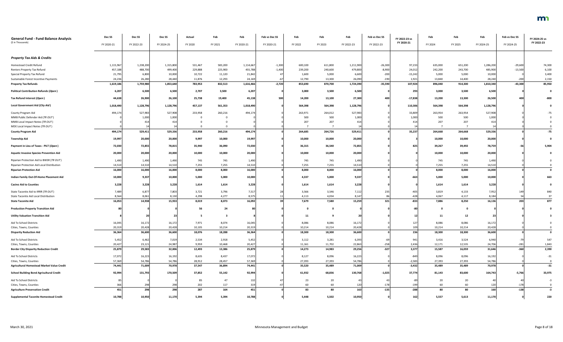| <b>General Fund - Fund Balance Analysis</b>     | Dec <sub>SS</sub> | Dec <sub>SS</sub> | Dec SS     | Actual  | Feb     | Feb        | Feb vs Dec SS | Feb     | Feb     | Feb        | Feb vs Dec SS | FY 2022-23 vs | Feb          | Feb     | Feb            | Feb vs Dec SS | FY 2024-25 vs |
|-------------------------------------------------|-------------------|-------------------|------------|---------|---------|------------|---------------|---------|---------|------------|---------------|---------------|--------------|---------|----------------|---------------|---------------|
| (\$ in Thousands)                               | FY 2020-21        | FY 2022-23        | FY 2024-25 | FY 2020 | FY 2021 | FY 2020-21 | FY 2020-21    | FY 2022 | FY 2023 | FY 2022-23 | FY 2022-23    | FY 2020-21    | FY 2024      | FY 2025 | FY 2024-25     | FY 2024-25    | FY 2022-23    |
| <b>Property Tax Aids &amp; Credits</b>          |                   |                   |            |         |         |            |               |         |         |            |               |               |              |         |                |               |               |
| Homestead Credit Refund                         | 1,115,967         | 1,238,200         | 1,315,800  | 531,467 | 583,200 | 1,114,667  | $-1,300$      | 600,100 | 611,800 | 1,211,900  | $-26,300$     | 97,233        | 635,000      | 651,200 | 1,286,200      | $-29,600$     | 74,300        |
| Renters Property Tax Refund                     | 457,188           | 488,700           | 499,400    | 229,888 | 225,900 | 455,788    | $-1,400$      | 239,200 | 240,600 | 479,800    | $-8,900$      | 24,012        | 242,200      | 243,700 | 485,900        | $-13,500$     | 6,100         |
| Special Property Tax Refund                     | 21,795            | 6,800             | 10,000     | 10,722  | 11,120  | 21,842     |               | 1,600   | 5,000   | 6,600      | $-200$        | $-15,242$     | 5,000        | 5,000   | 10,000         |               | 3,400         |
| Sustainable Forest Incentive Payments           | 24,236            | 26,280            | 28,440     | 11,876  | 12,293  | 24,169     |               | 12,790  | 13,300  | 26,090     | $-190$        | 1,921         | 13,840       | 14,400  | 28,240         | $-200$        | 2,150         |
| <b>Property Tax Refunds</b>                     | 1,619,186         | 1,759,980         | 1,853,640  | 783,953 | 832,513 | 1,616,466  | $-2,720$      | 853,690 | 870,700 | 1,724,390  | $-35,590$     | 107,924       | 896,040      | 914,300 | 1,810,340      | $-43,300$     | 85,950        |
| <b>Political Contribution Refunds (Open)</b>    | 6,207             | 6,500             | 6,500      | 2,707   | 3,500   | 6,207      |               | 3,000   | 3,500   | 6,500      |               | 293           | 3,000        | 3,500   | 6,500          |               |               |
| Tax Refund Interest (Open)                      | 44,638            | 26,900            | 26,100     | 25,738  | 19,400  | 45,138     | 500           | 14,200  | 13,100  | 27,300     | 400           | $-17,838$     | 13,200       | 13,300  | 26,500         | 400           | $-800$        |
| Local Government Aid (City Aid)                 | 1,018,490         | 1,128,796         | 1,128,796  | 457,137 | 561,353 | 1,018,490  |               | 564,398 | 564,398 | 1,128,796  |               | 110,306       | 564,398      | 564,398 | 1,128,796      |               |               |
| County Program Aid                              | 494,17            | 527,983           | 527,908    | 233,958 | 260,216 | 494,174    |               | 263,971 | 264,012 | 527,983    |               | 33,809        | 263,954      | 263,954 | 527,908        |               |               |
| MMB Public Defender Aid (TR OUT)                |                   | 1,000             | 1,000      |         |         |            |               | 500     | 500     | 1,000      |               | 1,000         | 500          | 500     | 1,000          |               |               |
| MMB Local Impact Notes (TR OUT)                 |                   | 414               | 414        |         |         |            |               | 207     | 207     | 414        |               | 41            | 207          | 207     | 414            |               |               |
| MDE Local Impact Notes (TR OUT)                 |                   |                   |            |         |         |            |               |         |         | 1/         |               |               |              |         |                |               |               |
| <b>County Program Aid</b>                       | 494,174           | 529,411           | 529,336    | 233,958 | 260,216 | 494,174    |               | 264,685 | 264,726 | 529,41     |               | 35,237        | 264,668      | 264,668 | 529,336        |               | $-75$         |
| <b>Township Aid</b>                             | 19,997            | 20,000            | 20,000     | 9,997   | 10,000  | 19,997     |               | 10,000  | 10,000  | 20,000     |               |               | 10,000       | 10,000  | 20,000         |               |               |
| Payment in Lieu of Taxes - PILT (Open)          | 72,030            | 72,855            | 78,815     | 35,940  | 36,090  | 72,030     |               | 36,315  | 36,540  | 72,85      |               | 825           | 39,267       | 39,492  | 78,759         |               | 5,904         |
| <b>Aquatic Invasive Species Prevention Aid</b>  | 20,000            | 20,000            | 20,000     | 10,000  | 10,000  | 20,000     |               | 10,000  | 10,000  | 20,000     |               |               | 10,000       | 10,000  | 20,000         |               |               |
| Riparian Protection Aid to BWSR (TR OUT)        | 1,490             | 1,490             | 1,490      | 745     | 745     | 1,490      |               | 745     | 745     | 1,490      |               |               | 745          | 745     | 1,490          |               |               |
| Riparian Protection Aid Local Distribution      | 14,51             | 14,510            | 14,510     | 7,255   | 7,255   | 14,510     |               | 7,255   | 7,255   | 14,510     |               |               | 7,255        | 7,255   | 14,510         |               |               |
| <b>Riparian Protection Aid</b>                  | 16,000            | 16,000            | 16,000     | 8,000   | 8,000   | 16,000     |               | 8,000   | 8,000   | 16,000     |               |               | 8,000        | 8,000   | 16,000         |               |               |
| Indian Family Out-Of-Home Placement Aid         | 10,000            | 9,337             | 10,000     | 5,000   | 5,000   | 10,000     |               | 4,337   | 5,000   | 9,337      |               | $-663$        | 5,000        | 5,000   | 10,000         |               | 663           |
| <b>Casino Aid to Counties</b>                   | 3,228             | 3,228             | 3,228      | 1,614   | 1,614   | 3,228      |               | 1,614   | 1,614   | 3,228      |               |               | 1,614        | 1,614   | 3,228          |               |               |
| State Taconite Aid to IRRR (TR OUT)             | 7,489             | 6,877             | 7,803      | 3,721   | 3,796   | 7,517      |               | 3,566   | 3,546   | 7,112      | 235           | $-405$        | 3,819        | 4,133   | 7,952          | 149           | 840           |
| State Taconite Aid Local Distribution           | 8,564             | 8,061             | 8,130      | 4,298   | 4,277   | 8,575      |               | 4,113   | 4,034   | 8,14       |               | $-428$        | 4,067        | 4,117   | 8,184          | 54            | 37            |
| <b>State Taconite Aid</b>                       | 16,053            | 14,938            | 15,933     | 8,019   | 8,073   | 16,092     |               | 7,679   | 7,580   | 15,259     | 321           | $-833$        | 7,886        | 8,250   | 16,136         | 203           | 877           |
| <b>Production Property Transition Aid</b>       |                   |                   |            | 56      | 24      |            |               |         |         |            |               |               | $\mathbf{0}$ |         |                |               |               |
| <b>Utility Valuation Transition Aid</b>         |                   |                   | 23         | 5       | -3      |            |               | 11      |         | 20         |               |               | 11           | 12      | 2 <sup>5</sup> |               |               |
| Aid To School Districts                         | 16,045            | 16,172            | 16,172     | 7,971   | 8,074   | 16,045     |               | 8,086   | 8,086   | 16,172     |               | 127           | 8,086        | 8,086   | 16,172         |               |               |
| Cities, Towns, Counties                         | 20,319            | 20,428            | 20,428     | 10,105  | 10,214  | 20,319     |               | 10,214  | 10,214  | 20,428     |               | 109           | 10,214       | 10,214  | 20,428         |               |               |
| <b>Disparity Reduction Aid</b>                  | 36,364            | 36,600            | 36,600     | 18,076  | 18,288  | 36,364     |               | 18,300  | 18,300  | 36,600     |               | 236           | 18,300       | 18,300  | 36,600         |               | $\mathbf 0$   |
| Aid To School Districts                         | 5,452             | 6,462             | 7,019      | 2,534   | 2,918   | 5,452      |               | 3,112   | 3,281   | 6,393      |               | 941           | 3,416        | 3,524   | 6,940          |               | 547           |
| Cities, Towns, Counties                         | 20,427            | 23,121            | 24,987     | 9,959   | 10,468  | 20,427     |               | 11,161  | 11,702  | 22,863     | $-258$        | 2,436         | 12,171       | 12,535  | 24,706         | $-281$        | 1,843         |
| <b>Border City Disparity Reduction Credit</b>   | 25,879            | 29,583            | 32,006     | 12,493  | 13,386  | 25,879     |               | 14,273  | 14,983  | 29,256     | $-327$        | 3,377         | 15,587       | 16,059  | 31,646         | $-360$        | 2,390         |
| Aid To School Districts                         | 17,072            | 16,223            | 16,192     | 8,635   | 8,437   | 17,072     |               | 8,127   | 8,096   | 16,223     |               | $-849$        | 8,096        | 8,096   | 16,192         |               | $-31$         |
| Cities, Towns, Counties                         | 57,369            | 54,786            | 54,786     | 28,912  | 28,457  | 57,369     |               | 27,393  | 27,393  | 54,786     |               | $-2,583$      | 27,393       | 27,393  | 54,786         |               |               |
| Agricultural Homestead Market Value Credit      | 74,441            | 71,009            | 70,978     | 37,547  | 36,894  | 74,441     |               | 35,520  | 35,489  | 71,009     |               | $-3,432$      | 35,489       | 35,489  | 70,978         |               | $-31$         |
| <b>School Building Bond Agricultural Credit</b> | 92,994            | 131,793           | 170,509    | 37,852  | 55,142  | 92,994     |               | 61,932  | 68,836  | 130,768    | $-1,025$      | 37,774        | 81,143       | 83,600  | 164,743        | $-5,766$      | 33,975        |
| Aid To School Districts                         |                   |                   |            | 85      | 47      | 132        |               | 23      | 20      |            |               |               | 20           | 20      |                |               | $-3$          |
| Cities, Towns, Counties                         | 366               | 298               | 298        | 202     | 117     | 319        |               | 60      | 60      | 120        | $-178$        | $-199$        | 60           | 60      | 120            | $-178$        |               |
| <b>Agriculture Preservation Credit</b>          | 451               | 298               | 298        | 287     | 164     | 45         |               | 83      | 80      | 163        | $-135$        | $-288$        | 80           | 80      | 160            | $-138$        | $-3$          |
| <b>Supplemental Taconite Homestead Credit</b>   | 10,788            | 10,950            | 11,170     | 5,394   | 5,394   | 10,788     |               | 5,448   | 5,502   | 10,950     |               | 162           | 5,557        | 5,613   | 11,170         |               | 220           |

## m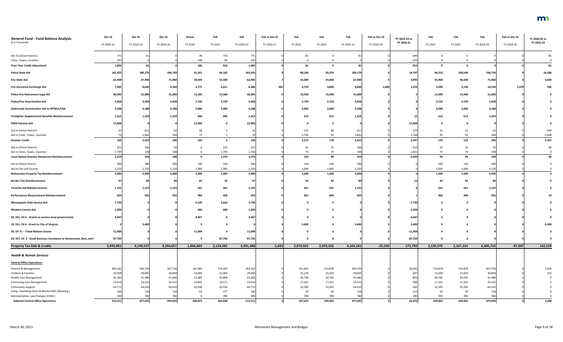| <b>General Fund - Fund Balance Analysis</b>                                            | Dec SS          | Dec SS     | Dec SS         | Actual       | Feb            | Feb            | Feb vs Dec SS | Feb            | Feb            | Feb            | Feb vs Dec SS | FY 2022-23 vs        | Feb            | Feb            | Feb            | Feb vs Dec SS | FY 2024-25 vs |
|----------------------------------------------------------------------------------------|-----------------|------------|----------------|--------------|----------------|----------------|---------------|----------------|----------------|----------------|---------------|----------------------|----------------|----------------|----------------|---------------|---------------|
| (\$ in Thousands)                                                                      | FY 2020-21      | FY 2022-23 | FY 2024-25     | FY 2020      | FY 2021        | FY 2020-21     | FY 2020-21    | FY 2022        | FY 2023        | FY 2022-23     | FY 2022-23    | FY 2020-21           | FY 2024        | FY 2025        | FY 2024-25     | FY 2024-25    | FY 2022-23    |
| Aid To School Districts                                                                | 77 <sub>2</sub> |            |                | 38           | 733            |                |               |                |                |                |               | $-690$               |                |                |                |               |               |
| Cities, Towns, Counties                                                                | 233             |            |                | 148          | 85             | 233            |               |                |                |                |               | $-233$               |                |                |                |               |               |
| <b>Prior Year Credit Adjustment</b>                                                    | 1,004           | 81         |                | 186          | 818            | 1,004          |               | 81             | 0              | 81             |               | $-923$               | $\mathbf 0$    | $\mathbf 0$    |                |               | $-81$         |
| <b>Police State Aid</b>                                                                | 165,423         | 180,170    | 196,750        | 81,241       | 84,182         | 165,423        |               | 88,100         | 92,070         | 180,170        |               | 14,747               | 96,210         | 100,540        | 196,750        |               | 16,580        |
| <b>Fire State Aid</b>                                                                  | 62,938          | 67,940     | 71,960         | 30,445       | 32,500         | 62,945         |               | 33,480         | 34,460         | 67,940         |               | 4,995                | 35,460         | 36,500         | 71,960         |               | 4,020         |
| Fire Insurance Surcharge Aid                                                           | 7,905           | 8,640      | 9,160          | 3,775        | 4,611          | 8,386          | 48            | 4,750          | 4,890          | 9,640          | 1,000         | 1,254                | 5,040          | 5,190          | 10,230         | 1,070         | 590           |
| <b>Police-Fire Retirement Supp Aid</b>                                                 | 30,995          | 31,000     | 31,000         | 15,495       | 15,500         | 30,995         |               | 15,500         | 15,500         | 31,000         |               |                      | 15,500         | 15,500         | 31,000         |               |               |
| <b>Police/Fire Amortization Aid</b>                                                    | 5,458           | 5,458      | 5,458          | 2,729        | 2,729          | 5,458          |               | 2,729          | 2,729          | 5,458          |               |                      | 2,729          | 2,729          | 5,458          |               |               |
| Redirected Amortization Aid to SPTRFA/TRA                                              | 4,188           | 4,188      | 4,188          | 2,094        | 2,094          | 4,188          |               | 2,094          | 2,094          | 4,188          |               |                      | 2,094          | 2,094          | 4,188          |               |               |
| <b>Firefighter Supplemental Benefits Reimbursement</b>                                 | 1,212           | 1,224      | 1,224          | 606          | 606            | 1,212          |               | 612            | 612            | 1,224          |               |                      | 612            | 612            | 1,224          |               |               |
| <b>PERA Pension Aid</b>                                                                | 13,900          |            |                | 13,900       |                | 13,900         |               |                |                |                |               | $-13,900$            |                |                |                |               |               |
| Aid to School Districts                                                                |                 | 611        |                | 28           |                |                |               | 525            | 86             | 611            |               | 579                  | 31             | 31             |                |               | $-549$        |
| Aid to Cities, Towns, Counties                                                         |                 | 1,842      | 184            | 72           |                |                |               | 1,750          | 92             | 1,842          |               | 1,768                | 92             | 92             | 184            |               | $-1,658$      |
| <b>Disaster Credit</b>                                                                 | 106             | 2,453      | 246            | 100          |                | 106            |               | 2,275          | 178            | 2,453          |               | 2,347                | 123            | 123            | 246            |               | $-2,207$      |
| Aid to School Districts                                                                | 525             | 106        |                |              | 525            | 525            |               | 81             | 25             | 106            |               | $-419$               | 25             | 25             |                |               | $-56$         |
| Aid to Cities, Towns, Counties<br><b>Local Option Disaster Abatement Reimbursement</b> | 1,749<br>2,274  | 148<br>254 | 148<br>198     | $\mathbf{0}$ | 1,749<br>2,274 | 1,749<br>2,274 |               | 74<br>155      | 74<br>99       | 148<br>254     |               | $-1,601$<br>$-2,020$ | 74<br>99       | 74<br>99       | 148<br>198     |               | $-56$         |
| Aid to School District                                                                 | 280             | 280        | 280            | 140          | 140            | 280            |               | 140            | 140            | 280            |               |                      | 140            | 140            | 280            |               |               |
| Aid to City and County                                                                 | 2,120           | 2,120      | 2,120          | 1,060        | 1,060          | 2,120          |               | 1,060          | 1,060          | 2,120          |               |                      | 1,060          | 1,060          | 2,120          |               |               |
| <b>Mahnomen Property Tax Reimbursement</b>                                             | 2,400           | 2,400      | 2,400          | 1,200        | 1,200          | 2,400          |               | 1,200          | 1,200          | 2,400          |               |                      | 1,200          | 1,200          | 2,400          |               |               |
| <b>Border City Reimbursement</b>                                                       |                 |            |                | $ -$<br>ხ5   | 32             |                |               |                |                |                |               |                      |                |                |                |               |               |
| <b>Taconite Aid Reimbursement</b>                                                      | 1,122           | 1,122      | 1,122          | 561          | 561            | 1,122          |               | 561            | 561            | 1,122          |               |                      | 561            | 561            | 1,122          |               |               |
| <b>Performance Measurement Reimbursement</b>                                           | 924             | 925        | 935            | 466          | 458            | 924            |               | 461            | 464            | 925            |               |                      | 466            | 469            | 935            |               |               |
| <b>Minneapolis Debt Service Aid</b>                                                    | 7,730           |            |                | 4,120        | 3,610          | 7,730          |               |                | 0              |                |               | $-7,730$             | 0              | - 0            |                |               |               |
| <b>Wadena County Aid</b>                                                               | 1,200           |            |                | 600          | 600            | 1,200          |               |                | -0             |                |               | $-1,200$             | 0              |                |                |               |               |
| 19, SS1, CH 6 - Grants to various local governments                                    | 4,447           |            |                | 4,447        |                | 4,447          |               |                | $\Omega$       |                |               | $-4,447$             |                |                |                |               |               |
| 19, SS1, CH 6 - Grant to City of Virginia                                              |                 | 5,400      |                |              |                |                |               | 5,400          |                | 5,400          |               | 5,400                | 0              |                |                |               | $-5,400$      |
| 20, CH 71 - Tribal Nations Grants                                                      | 11,000          |            |                | 11,000       |                | 11,000         |               |                |                |                |               | $-11,000$            |                |                |                |               |               |
| 20, SS7, Ch. 2 - Small Business Assistance to Restaurants, Bars, and (                 | 87,750          |            |                |              | 87,750         | 87,750         |               |                |                |                |               | $-87,750$            | - 0            |                |                |               |               |
| <b>Property Tax Aids &amp; Credits</b>                                                 | 3,993,081       | 4,199,537  | 4,354,657      | 1,866,803    | 2,124,585      | 3,991,388      | $-1,693$      | 2,070,925      | 2,093,256      | 4,164,181      | $-35,356$     | 172,793              | 2,139,376      | 2,167,334      | 4,306,710      | $-47,947$     | 142,529       |
| <b>Health &amp; Human Services</b>                                                     |                 |            |                |              |                |                |               |                |                |                |               |                      |                |                |                |               |               |
| <b>Central Office Operations</b>                                                       |                 |            |                |              |                |                |               |                |                |                |               |                      |                |                |                |               |               |
| Finance & Management                                                                   | 342,162         | 305,720    | 307,756        | 167,960      | 174,202        | 342,162        |               | 151,842        | 153,878        | 305,720        |               | $-36,442$            | 153,878        | 153,878        | 307,756        |               | 2,036         |
| Children & Families                                                                    | 29,958          | 30,605     | 30,858         | 14,494       | 15,464         | 29,958         |               | 15,176         | 15,429         | 30,605         |               | 647                  | 15,429         | 15,429         | 30,858         |               | 253           |
| <b>Health Care Management</b>                                                          | 42,283          | 41,480     | 41,480         | 21,483       | 20,800         | 42,283         |               | 20,740         | 20,740         | 41,480         |               | -80                  | 20,740         | 20,740         | 41,480         |               |               |
| <b>Continuing Care Management</b>                                                      | 33,616          | 34,522     | 34,522         | 14,045       | 19,571         | 33,616         |               | 17,261         | 17,261         | 34,522         |               | 906                  | 17,261         | 17,261         | 34,522         |               |               |
| <b>Community Support</b>                                                               | 64,772          | 64,410     | 64,410         | 32,438       | 32,334         | 64,772         |               | 32,205         | 32,205         | 64,410         |               |                      | 32,205         | 32,205         | 64,410         |               |               |
| Comp. Gambling Chem & Mental Hlth (Standing)<br>Administration, Law Changes (ICWA)     | 330             | 78         | 118            | 53           | 277            | 330            |               | 59             | 59             | 118            |               | $-212$               | 59             | 59             | 118            |               |               |
| <b>Subtotal Central Office Operations</b>                                              | 39<br>513,511   | 477,635    | 780<br>479,924 | 250,473      | 390<br>263,038 | 390<br>513,511 |               | 390<br>237,673 | 390<br>239,962 | 780<br>477,635 |               | $-35,876$            | 390<br>239,962 | 390<br>239,962 | 780<br>479,924 |               | 2,289         |
|                                                                                        |                 |            |                |              |                |                |               |                |                |                |               |                      |                |                |                |               |               |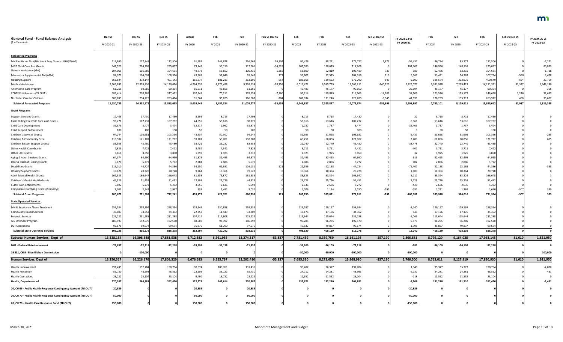| <b>General Fund - Fund Balance Analysis</b>                     | Dec <sub>SS</sub> | Dec <sub>SS</sub> | Dec SS          | Actual          | Feb             | Feb             | Feb vs Dec SS   | Feb             | Feb             | Feb             | Feb vs Dec SS | FY 2022-23 vs | Feb             | Feb             | Feb             | Feb vs Dec SS | FY 2024-25 vs |
|-----------------------------------------------------------------|-------------------|-------------------|-----------------|-----------------|-----------------|-----------------|-----------------|-----------------|-----------------|-----------------|---------------|---------------|-----------------|-----------------|-----------------|---------------|---------------|
| (\$ in Thousands)                                               | FY 2020-21        | FY 2022-23        | FY 2024-25      | FY 2020         | FY 2021         | FY 2020-21      | FY 2020-21      | FY 2022         | FY 2023         | FY 2022-23      | FY 2022-23    | FY 2020-21    | FY 2024         | FY 2025         | FY 2024-25      | FY 2024-25    | FY 2022-23    |
| <b>Forecasted Programs</b>                                      |                   |                   |                 |                 |                 |                 |                 |                 |                 |                 |               |               |                 |                 |                 |               |               |
| MN Family Inv Plan/Div Work Prog Grants (MFIP/DWP)              | 219,860           | 177,848           | 172,506         | 91,486          | 144,678         | 236,164         | 16,304          | 91,476          | 88,251          | 179,72          | 1,879         | $-56,437$     | 86,734          | 85,772          | 172,506         |               | $-7,221$      |
| MFIP Child Care Asst Grants                                     | 147,529           | 214,208           | 295,097         | 73,445          | 39,156          | 112,601         | $-34,928$       | 103,589         | 110,619         | 214,20          |               | 101,607       | 146,996         | 148,101         | 295,097         |               | 80,889        |
| General Assistance (GA)                                         | 104,065           | 105,686           | 104,691         | 49,778          | 55,652          | 105,430         | 1,365           | 53,600          | 52,819          | 106,41          | 733           | 989           | 52,476          | 52,215          | 104,691         |               | $-1,728$      |
| Minnesota Supplemental Aid (MSA)                                | 94,972            | 104,097           | 108,354         | 43,503          | 51,646          | 95,149          | 177             | 51,801          | 52,515          | 104,31          | 219           | 9,16          | 53,431          | 54,363          | 107,794         | $-560$        | 3,478         |
| <b>Housing Support</b>                                          | 363,844           | 372,147           | 401,143         | 181,977         | 181,213         | 363,190         | $-654$          | 183,168         | 189,622         | 372,790         | 643           | 9,600         | 196,574         | 203,975         | 400,549         | $-594$        | 27,759        |
| <b>Medical Assistance</b>                                       | 9,766,892         | 12,803,436        | 14,130,024      | 4,964,636       | 4,773,498       | 9,738,134       | $-28,758$       | 6,017,472       | 6,545,739       | 12,563,211      | $-240,225$    | 2,825,077     | 6,931,928       | 7,279,423       | 14,211,351      | 81,327        | 1,648,140     |
| Alternative Care Program                                        | 61,266            | 90,660            | 90,354          | 15,611          | 45,655          | 61,266          |                 | 45,483          | 45,177          | 90,66           |               | 29,394        | 45,177          | 45,177          | 90,354          |               | $-306$        |
| CCDTF Entitlements (TR OUT)                                     | 185,414           | 230,265           | 247,452         | 107,943         | 70,211          | 178,154         | $-7,260$        | 96,214          | 119,849         | 216,063         | $-14,202$     | 37,909        | 123,526         | 125,172         | 248,698         | 1,246         | 32,635        |
| Northstar Care for Children                                     | 186,893           | 234,225           | 263,474         | 91,064          | 95,625          | 186,689         | $-204$          | 107,034         | 121,246         | 228,280         | $-5,945$      | 41,591        | 128,259         | 135,713         | 263,972         | 498           | 35,692        |
| <b>Subtotal Forecasted Programs</b>                             | 11,130,735        | 14,332,572        | 15,813,095      | 5,619,443       | 5,457,334       | 11,076,777      | $-53,958$       | 6,749,837       | 7,325,837       | 14,075,674      | $-256,898$    | 2,998,897     | 7,765,101       | 8,129,911       | 15,895,012      | 81,917        | 1,819,338     |
| <b>Grant Programs</b>                                           |                   |                   |                 |                 |                 |                 |                 |                 |                 |                 |               |               |                 |                 |                 |               |               |
| <b>Support Services Grants</b>                                  | 17,408            | 17,430            | 17,430          | 8,693           | 8,715           | 17,408          |                 | 8,715           | 8,715           | 17,43           |               |               | 8,715           | 8,715           | 17,430          |               |               |
| Basic Sliding Fee Child Care Asst Grants                        | 98,27             | 107,232           | 107,232         | 44,655          | 53,616          | 98,271          |                 | 53,616          | 53,616          | 107,232         |               | 8,961         | 53,616          | 53,616          | 107,232         |               |               |
| Child Care Development                                          | 35,879            | 3,474             | 3,474           | 32,917          | 2,962           | 35,879          |                 | 1,737           | 1,737           | 3,474           |               | $-32,405$     | 1,737           | 1,737           | 3,474           |               |               |
| Child Support Enforcemen                                        | 100               | 100               | 100             | 50              | 50              | 100             |                 | 50              | 50              | 100             |               |               | 50              | 50              | 100             |               |               |
| <b>Children's Services Grants</b>                               | 94,244            | 103,681           | 103,396         | 43,937          | 50,307          | 94,244          |                 | 51,983          | 51,698          | 103,68          |               | 9,437         | 51,698          | 51,698          | 103,396         |               | $-285$        |
| Children & Community Svcs                                       | 118,902           | 121,107           | 121,712         | 59,201          | 59,701          | 118,902         |                 | 60,251          | 60,856          | 121,107         |               | 2,205         | 60,856          | 60,856          | 121,712         |               |               |
| Children & Econ Support Grants                                  | 83,958            | 45,480            | 45,480          | 58,721          | 25,237          | 83,958          |                 | 22,740          | 22,740          | 45,48           |               | $-38,478$     | 22,740          | 22,740          | 45,480          |               |               |
| <b>Other Health Care Grants</b>                                 | 7,823             | 7,422             | 7,422           | 3,482           | 4,341           | 7,823           |                 | 3,711           | 3,711           | 7,422           |               |               | 3,711           | 3,711           | 7,422           |               |               |
| Other LTC Grants                                                | 3,818             | 3,850             | 3,850<br>64,990 | 1,893           | 1,925<br>32,495 | 3,818<br>64,374 |                 | 1,925           | 1,925<br>32,495 | 3,850           |               |               | 1,925           | 1,925           | 3,850           |               |               |
| Aging & Adult Services Grants<br>Deaf & Hard of Hearing Grants  | 64,374<br>5,670   | 64,990<br>5,772   | 5,772           | 31,879<br>2,784 | 2,886           | 5,670           |                 | 32,495<br>2,886 | 2,886           | 64,990<br>5,772 |               |               | 32,495<br>2,886 | 32,495<br>2,886 | 64,990<br>5,772 |               |               |
| <b>Disabilities Grants</b>                                      | 116,010           | 44,724            | 44,336          | 54,150          | 61,981          | 116,131         | 12 <sup>°</sup> | 22,556          | 22,168          | 44,72           |               | $-71,407$     | 22,168          | 22,168          | 44,336          |               |               |
| <b>Housing Support Grants</b>                                   | 19,62             | 20,72             | 20,728          | 9,264           | 10,364          | 19,628          |                 | 10,364          | 10,364          | 20,72           |               | 1,100         | 10,364          | 10,364          | 20,728          |               |               |
| <b>Adult Mental Health Grants</b>                               | 161,535           | 166,647           | 166,648         | 81,658          | 79,877          | 161,535         |                 | 83,323          | 83,324          | 166,64          |               | 5,112         | 83,324          | 83,324          | 166,648         |               |               |
| Children's Mental Health Grants                                 | 44,329            | 51,452            | 51,452          | 22,593          | 21,736          | 44,329          |                 | 25,726          | 25,726          | 51,452          |               | 7,123         | 25,726          | 25,726          | 51,452          |               |               |
| <b>CCDTF Non-Entitlements</b>                                   | 5,692             | 5,272             | 5,272           | 3,056           | 2,636           | 5,692           |                 | 2,636           | 2,636           | 5,272           |               | $-420$        | 2,636           | 2,636           | 5,272           |               |               |
| <b>Compulsive Gambling Grants (Standing)</b>                    | 3,031             | 2,542             | 2,947           | 539             | 2,492           | 3,031           |                 | 1,076           | 1,174           | 2,250           | $-292$        | $-781$        | 1,271           | 1,369           | 2,640           | $-307$        | 390           |
| <b>Subtotal Grant Programs</b>                                  | 880,672           | 771,903           | 772,241         | 459,472         | 421,321         | 880,793         | 121             | 385,790         | 385,821         | 771,611         | $-292$        | $-109,182$    | 385,918         | 386,016         | 771,934         | $-307$        | 323           |
| <b>State Operated Services</b>                                  |                   |                   |                 |                 |                 |                 |                 |                 |                 |                 |               |               |                 |                 |                 |               |               |
| MH & Substance Abuse Treatment                                  | 259,534           | 258,394           | 258,394         | 128,646         | 130,888         | 259,534         |                 | 129,197         | 129,197         | 258,394         |               | $-1,140$      | 129,197         | 129,197         | 258,394         |               |               |
| <b>Community Based Services</b>                                 | 33,807            | 34,352            | 34,352          | 22,358          | 11,449          | 33,807          |                 | 17,176          | 17,176          | 34,35           |               | 545           | 17,176          | 17,176          | 34,352          |               |               |
| <b>Forensic Services</b>                                        | 225,222           | 231,288           | 231,288         | 107,414         | 117,808         | 225,222         |                 | 115,644         | 115,644         | 231,288         |               | 6,066         | 115,644         | 115,644         | 231,288         |               |               |
| Sex Offender Program                                            | 186,997           | 192,570           | 192,570         | 88,600          | 98,397          | 186,997         |                 | 96,285          | 96,285          | 192,570         |               | 5,573         | 96,285          | 96,285          | 192,570         |               |               |
| <b>DCT Operations</b>                                           | 97,676            | 99,674            | 99,674          | 35,976          | 61,700          | 97,676          |                 | 49,837          | 49,837          | 99,674          |               | 1,998         | 49,837          | 49,837          | 99,674          |               |               |
| <b>Subtotal State Operated Services</b>                         | 803,236           | 816,278           | 816,278         | 382,994         | 420,242         | 803,236         |                 | 408,139         | 408,139         | 816,278         |               | 13,042        | 408,139         | 408,139         | 816,278         |               |               |
| Subtotal Human Services, Dept of                                | 13,328,154        | 16,398,388        | 17,881,538      | 6,712,382       | 6,561,935       | 13,274,317      | $-53,837$       | 7,781,439       | 8,359,759       | 16,141,198      | $-257,190$    | 2,866,881     | 8,799,120       | 9,164,028       | 17,963,148      | 81,610        | 1,821,950     |
| <b>DHS - Federal Reimbursement</b>                              | $-71,837$         | $-72,218$         | $-72,218$       | $-35,699$       | $-36,138$       | $-71,837$       |                 | $-36,109$       | $-36,109$       | $-72,213$       |               | $-381$        | $-36,109$       | $-36,109$       | $-72,218$       |               |               |
| 19 SS1, CH 9 - Blue Ribbon Commission                           |                   | $-100,000$        |                 |                 |                 |                 |                 | $-50,000$       | $-50,000$       | $-100,000$      |               | $-100,000$    | - 0             | - 0             |                 |               | 100,000       |
| Human Services, Dept of                                         | 13,256,317        | 16,226,170        | 17,809,320      | 6,676,683       | 6,525,797       | 13,202,480      | $-53,837$       | 7,695,330       | 8,273,650       | 15,968,980      | $-257,190$    | 2,766,500     | 8,763,011       | 9,127,919       | 17,890,930      | 81,610        | 1,921,950     |
| Health Improvement                                              | 191,435           | 192,784           | 190,754         | 90,674          | 100,761         | 191,435         |                 | 96,407          | 96,377          | 192,784         |               | 1,349         | 95,377          | 95,377          | 190,754         |               | $-2,030$      |
| <b>Health Protection</b>                                        | 55,730            | 48,993            | 48,562          | 22,609          | 33,121          | 55,730          |                 | 24,712          | 24,281          | 48,993          |               | $-6,737$      | 24,281          | 24,281          | 48,562          |               | $-431$        |
| <b>Health Operations</b>                                        | 23,222            | 23,104            | 23,104          | 9,490           | 13,732          | 23,222          |                 | 11,552          | 11,552          | 23,104          |               | $-118$        | 11,552          | 11,552          | 23,104          |               |               |
| <b>Health, Department of</b>                                    | 270,387           | 264,881           | 262,420         | 122,773         | 147,614         | 270,387         |                 | 132,671         | 132,210         | 264,881         |               | $-5,506$      | 131,210         | 131,210         | 262,420         |               | $-2,461$      |
| 20, CH 66 - Public Health Response Contingency Account (TR OUT) | 20,889            |                   |                 | 20,889          |                 | 20,889          |                 |                 | $\Omega$        |                 |               | $-20,889$     | 0               |                 |                 |               |               |
| 20, CH 70 - Public Health Response Contingency Account (TR OUT) | 50,000            |                   |                 | 50,000          |                 | 50,000          |                 |                 | 0               |                 |               | $-50,000$     | - 0             | 0               |                 |               |               |
| 20, CH 70 - Health Care Response Fund (TR OUT)                  | 150,000           |                   |                 | 150,000         |                 | 150,000         |                 |                 |                 |                 |               | $-150,000$    | 0               |                 |                 |               |               |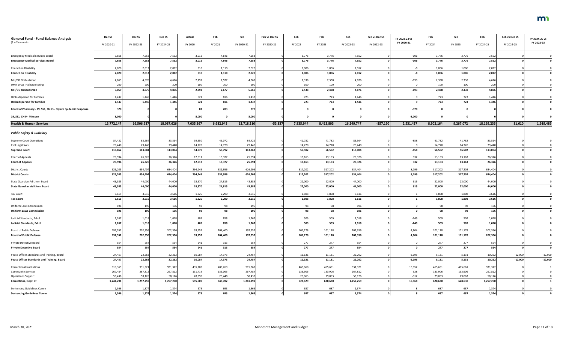| <b>General Fund - Fund Balance Analysis</b><br>(\$ in Thousands)                           | Dec SS            | Dec <sub>SS</sub> | Dec <sub>SS</sub> | Actual            | Feb               | Feb               | Feb vs Dec SS | Feb               | Feb               | Feb              | Feb vs Dec SS | FY 2022-23 vs<br>FY 2020-21 | Feb               | Feb               | Feb               | Feb vs Dec SS          | FY 2024-25 vs<br>FY 2022-23 |
|--------------------------------------------------------------------------------------------|-------------------|-------------------|-------------------|-------------------|-------------------|-------------------|---------------|-------------------|-------------------|------------------|---------------|-----------------------------|-------------------|-------------------|-------------------|------------------------|-----------------------------|
|                                                                                            | FY 2020-21        | FY 2022-23        | FY 2024-25        | FY 2020           | FY 2021           | FY 2020-21        | FY 2020-21    | FY 2022           | FY 2023           | FY 2022-23       | FY 2022-23    |                             | FY 2024           | FY 2025           | FY 2024-25        | FY 2024-25             |                             |
| <b>Emergency Medical Services Board</b>                                                    | 7,65              | 7,55              | 7,552             | 3,012             | 4,646             | 7,658             |               | 3,776             | 3,776             | 7,552            |               | $-106$                      | 3,776             | 3,776             | 7,552             |                        |                             |
| <b>Emergency Medical Services Board</b>                                                    | 7,658             | 7,552             | 7,552             | 3,012             | 4,646             | 7,658             |               | 3,776             | 3,776             | 7,552            |               | $-106$                      | 3,776             | 3,776             | 7,552             |                        |                             |
| Council on Disability                                                                      | 2,020             | 2,012             | 2,012             | 910               | 1,110             | 2,020             |               | 1,006             | 1,006             | 2,012            |               |                             | 1,006             | 1,006             | 2,012             |                        |                             |
| <b>Council on Disability</b>                                                               | 2,020             | 2,012             | 2,012             | 910               | 1,110             | 2,020             |               | 1,006             | 1,006             | 2,012            |               |                             | 1,006             | 1,006             | 2,012             |                        |                             |
| MH/DD Ombudsman                                                                            | 4,869             | 4,67              | 4,676             | 2,292             | 2,577             | 4,869             |               | 2,338             | 2,338             | 4,676            |               |                             | 2,338             | 2,338             | 4,676             |                        |                             |
| <b>UMN Drug Trial Monitoring</b>                                                           | 200               | 200               | 200               | 100               | 100               | 200               |               | 100               | 100               | 200              |               |                             | 100               | 100               | 200               |                        |                             |
| MH/DD Ombudsman                                                                            | 5,069             | 4,876             | 4,876             | 2,392             | 2,677             | 5,069             |               | 2,438             | 2,438             | 4,876            |               | $-193$                      | 2,438             | 2,438             | 4,876             |                        |                             |
| <b>Ombudsperson for Families</b>                                                           | 1,437             | 1,44              | 1,446             | 621               | 816               | 1,437             |               | 723               | 723               | 1,446            |               |                             | 723               | 723               | 1,446             |                        |                             |
| <b>Ombudsperson for Families</b>                                                           | 1,437             | 1,446             | 1,446             | 621               | 816               | 1,437             |               | 723               | 723               | 1,446            |               |                             | 723               | 723               | 1,446             |                        |                             |
| Board of Pharmacy - 19, SS1, Ch 63 - Opiate Epidemic Response                              | 370               |                   |                   | 87                | 283               | 370               |               |                   | $\mathbf{0}$      |                  |               | $-370$                      | - 0               | $\Omega$          |                   |                        |                             |
| 19, SS1, CH 9 - MNsure                                                                     | 8,000             |                   |                   | 8,000             |                   | 8,000             |               |                   | . വ               |                  |               | $-8,000$                    |                   | - 0               |                   |                        |                             |
| <b>Health &amp; Human Services</b>                                                         | 13,772,147        | 16,506,937        | 18,087,626        | 7,035,367         | 6,682,943         | 13,718,310        | $-53,837$     | 7,835,944         | 8,413,803         | 16,249,747       | $-257,190$    | 2,531,437                   | 8,902,164         | 9,267,072         | 18,169,236        | 81,610                 | 1,919,489                   |
| <b>Public Safety &amp; Judiciary</b>                                                       |                   |                   |                   |                   |                   |                   |               |                   |                   |                  |               |                             |                   |                   |                   |                        |                             |
| <b>Supreme Court Operations</b>                                                            | 84,422            | 83,564            | 83,564            | 39,350            | 45,072            | 84,422            |               | 41,782            | 41,782            | 83,564           |               | $-858$                      | 41,782            | 41,782            | 83,564            |                        |                             |
| Civil Legal Svcs                                                                           | 29,440            | 29,440            | 29,440            | 14,720            | 14,720            | 29,440            |               | 14,720            | 14,720            | 29,440           |               |                             | 14,720            | 14,720            | 29,440            |                        |                             |
| <b>Supreme Court</b>                                                                       | 113,862           | 113,004           | 113,004           | 54,070            | 59,792            | 113,862           |               | 56,502            | 56,502            | 113,004          |               | $-858$                      | 56,502            | 56,502            | 113,004           |                        |                             |
| Court of Appeals                                                                           | 25,994            | 26,326            | 26,326            | 12,617            | 13,377            | 25,994            |               | 13,163            | 13,163            | 26,326           |               | 332                         | 13,163            | 13,163            | 26,326            |                        |                             |
| <b>Court of Appeals</b>                                                                    | 25,994            | 26,326            | 26,326            | 12,617            | 13,377            | 25,994            |               | 13,163            | 13,163            | 26,326           |               | 332                         | 13,163            | 13,163            | 26,326            |                        |                             |
| <b>District Courts</b>                                                                     | 626,205           | 634,404           | 634,404           | 294,249           | 331,956           | 626,205           |               | 317,202           | 317,202           | 634,404          |               | 8,199                       | 317,202           | 317,202           | 634,404           |                        |                             |
| <b>District Courts</b>                                                                     | 626,205           | 634,404           | 634,404           | 294,249           | 331,956           | 626,205           |               | 317,202           | 317,202           | 634,404          |               | 8,199                       | 317,202           | 317,202           | 634,404           |                        |                             |
| State Guardian Ad Litem Board                                                              | 43,385            | 44,000            | 44,000            | 18,570            | 24,815            | 43,385            |               | 22,000            | 22,000            | 44,000           |               | 615                         | 22,000            | 22,000            | 44,000            |                        |                             |
| <b>State Guardian Ad Litem Board</b>                                                       | 43,385            | 44,000            | 44,000            | 18,570            | 24,815            | 43,385            |               | 22,000            | 22,000            | 44,000           |               | 615                         | 22,000            | 22,000            | 44,000            |                        |                             |
| <b>Tax Court</b>                                                                           | 3,615             | 3,616             | 3,616             | 1,325             | 2,290             | 3,615             |               | 1,808             | 1,808             | 3,616            |               |                             | 1,808             | 1,808             | 3,616             |                        |                             |
| <b>Tax Court</b>                                                                           | 3,615             | 3,616             | 3,616             | 1,325             | 2,290             | 3,615             |               | 1,808             | 1,808             | 3,616            |               |                             | 1,808             | 1,808             | 3,616             |                        |                             |
| <b>Uniform Laws Commission</b>                                                             | 196               | 196               | 196               | 98                | 98                | 196               |               | 98                | 98                | 196              |               |                             | 98                | 98                | 196               |                        |                             |
| <b>Uniform Laws Commission</b>                                                             | 196               | 196               | 196               | 98                | 98                | 196               |               | 98                | 98                | 196              |               |                             | 98                | 98                | 196               |                        |                             |
| Judicial Standards, Bd of                                                                  | 1,267             | 1,018             | 1,018             | 409               | 858               | 1,267             |               | 509               | 509               | 1,018            |               |                             | 509               | 509               | 1,018             |                        |                             |
| Judicial Standards, Bd of                                                                  | 1,267             | 1,018             | 1,018             | 409               | 858               | 1,267             |               | 509               | 509               | 1,018            |               | $-249$                      | 509               | 509               | 1,018             |                        |                             |
| Board of Public Defense                                                                    | 197,552           | 202,356           | 202,356           | 93,152            | 104,400           | 197,552           |               | 101,178           | 101,178           | 202,356          |               | 4,804                       | 101,178           | 101,178           | 202,356           |                        |                             |
| <b>Board of Public Defense</b>                                                             | 197,552           | 202,356           | 202,356           | 93,152            | 104,400           | 197,552           |               | 101,178           | 101,178           | 202,356          |               | 4,804                       | 101,178           | 101,178           | 202,356           |                        |                             |
| Private Detective Board                                                                    | 554               | 554               | 554               | 241               | 313               | 554               |               | 277               | 277               | 554              |               |                             | 277               | 277               | 554               |                        |                             |
| <b>Private Detective Board</b>                                                             | 554               | 554               | 554               | 241               | 313               | 554               |               | 277               | 277               | 554              |               |                             | 277               | 277               | 554               |                        |                             |
|                                                                                            |                   |                   |                   |                   |                   |                   |               |                   |                   |                  |               |                             |                   |                   |                   |                        |                             |
| Peace Officer Standards and Training, Board<br>Peace Officer Standards and Training, Board | 24,457<br>24,457  | 22,262<br>22,262  | 22,262<br>22,262  | 10,084<br>10,084  | 14,373<br>14,373  | 24,457<br>24,457  |               | 11,131<br>11,131  | 11,131<br>11,131  | 22,262<br>22,262 |               | $-2,195$<br>$-2,195$        | 5,131<br>5,131    | 5,131<br>5,131    | 10,262<br>10,262  | $-12,000$<br>$-12,000$ | $-12,000$<br>$-12,000$      |
|                                                                                            |                   |                   |                   |                   |                   |                   |               |                   |                   |                  |               |                             |                   |                   |                   |                        |                             |
| <b>Correctional Institutions</b>                                                           | 915,369           | 931,321           | 931,322           | 435,100           | 480,269           | 915,369           |               | 465,660           | 465,661           | 931,321          |               | 15,952                      | 465,661           | 465,661           | 931,322           |                        |                             |
| <b>Community Services</b><br><b>Operations Support</b>                                     | 267,484<br>58,438 | 267,812<br>58,126 | 267,812<br>58,126 | 131,419<br>28,990 | 136,065<br>29,448 | 267,484<br>58,438 |               | 133,906<br>29,063 | 133,906<br>29,063 | 267,812<br>58,12 |               | 328<br>$-312$               | 133,906<br>29,063 | 133,906<br>29,063 | 267,812<br>58,126 |                        |                             |
| Corrections, Dept of                                                                       | 1,241,291         | 1,257,259         | 1,257,260         | 595,509           | 645,782           | 1,241,291         |               | 628,629           | 628,630           | 1,257,259        |               | 15,968                      | 628,630           | 628,630           | 1,257,260         |                        |                             |
|                                                                                            |                   |                   |                   |                   |                   |                   |               |                   |                   |                  |               |                             |                   |                   |                   |                        |                             |
| Sentencing Guidelines Comm<br><b>Sentencing Guidelines Comm</b>                            | 1,366<br>1,366    | 1,374<br>1,374    | 1,374<br>1,374    | 673<br>673        | 693<br>693        | 1,366<br>1,366    |               | 687<br>687        | 687<br>687        | 1,374<br>1,374   |               |                             | 687<br>687        | 687<br>687        | 1,374<br>1,374    |                        |                             |
|                                                                                            |                   |                   |                   |                   |                   |                   |               |                   |                   |                  |               |                             |                   |                   |                   |                        |                             |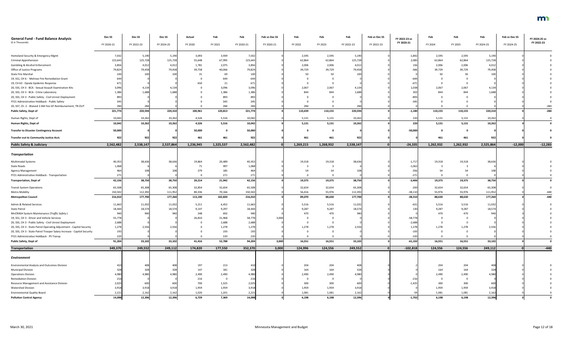| <b>General Fund - Fund Balance Analysis</b>                             | Dec <sub>SS</sub> | Dec SS     | Dec SS     | Actual    | Feb       | Feb             | Feb vs Dec SS | Feb       |                         | Feb        | Feb vs Dec SS | FY 2022-23 vs | Feb       | Feb       | Feb        | Feb vs Dec SS | FY 2024-25 vs |
|-------------------------------------------------------------------------|-------------------|------------|------------|-----------|-----------|-----------------|---------------|-----------|-------------------------|------------|---------------|---------------|-----------|-----------|------------|---------------|---------------|
| (\$ in Thousands)                                                       | FY 2020-21        | FY 2022-23 | FY 2024-25 | FY 2020   | FY 2021   | FY 2020-21      | FY 2020-21    | FY 2022   | FY 2023                 | FY 2022-23 | FY 2022-23    | FY 2020-21    | FY 2024   | FY 2025   | FY 2024-25 | FY 2024-25    | FY 2022-23    |
|                                                                         |                   |            |            |           |           |                 |               |           |                         |            |               |               |           |           |            |               |               |
| Homeland Security & Emergency Mgmt                                      | 7,032             | 5,190      | 5,190      | 3,093     | 3,939     | 7,032           |               | 2,595     | 2,595                   | 5,190      |               | $-1,842$      | 2,595     | 2,595     | 5,190      |               |               |
| <b>Criminal Apprehension</b>                                            | 123,643           | 125,728    | 125,728    | 55,648    | 67,995    | 123,643         |               | 62,864    | 62,864                  | 125,728    |               | 2,085         | 62,864    | 62,864    | 125,728    |               |               |
| Gambling & Alcohol Enforcement                                          | 3,856             | 4,012      | 4,012      | 1,781     | 2,075     | 3,856           |               | 2,006     | 2,006                   | 4,012      |               |               | 2,006     | 2,006     | 4,012      |               |               |
| <b>Office of Justice Programs</b>                                       | 79,824            | 79,458     | 79,458     | 39,758    | 40,066    | 79,824          |               | 39,729    | 39,729                  | 79,458     |               | -366          | 39,729    | 39,729    | 79,458     |               |               |
| <b>State Fire Marshal</b>                                               |                   |            | 100        | 31        | 69        | 10 <sub>C</sub> |               | 50        | 50                      | 100        |               |               | 50        | 50        |            |               |               |
| 19, SS1, CH 6 - Melrose Fire Remediation Grant                          |                   |            |            |           | 644       |                 |               |           |                         |            |               |               |           |           |            |               |               |
| 19, CH 63 - Opiate Epidemic Response                                    |                   |            |            | 650       | 21        |                 |               |           | 0                       |            |               | -67           |           |           |            |               |               |
| 20, SS5, CH 3 - BCA - Sexual Assault Examination Kits                   | 3,096             | 4,134      | 4,134      |           | 3,096     | 3,096           |               | 2,067     | 2,067                   | 4,134      |               | 1,038         | 2,067     | 2,067     | 4,134      |               |               |
| 20, SS5, CH 3 - BCA - Crime Laboratory                                  | 1,386             | 1,688      | 1.688      |           | 1,386     | 1,386           |               | 844       | 844                     | 1,688      |               | 302           | 844       | 844       | 1,68       |               |               |
| 20, SS5, CH 3 - Public Safety - Civil Unrest Deployment                 |                   |            |            |           | 893       |                 |               |           |                         |            |               | -893          |           |           |            |               |               |
| FY21 Administrative Holdback - Public Safety                            |                   |            |            |           | 345       |                 |               |           |                         |            |               |               |           |           |            |               |               |
| 20, SS7, Ch. 2 - Waived 2 AM Fee GF Reimbursement, TR-OUT               |                   | 284        |            |           | 284       | 284             |               | 284       | $\cap$                  | 284        |               |               |           |           |            |               | $-284$        |
|                                                                         |                   |            | 220,310    |           |           |                 |               |           |                         | 220,594    |               |               |           |           |            |               |               |
| <b>Public Safety, Dept of</b>                                           | 221,774           | 220,594    |            | 100,961   | 120,813   | 221,774         |               | 110,439   | 110,155                 |            |               | $-1,180$      | 110,155   | 110,155   | 220,310    |               | $-284$        |
| Human Rights, Dept of                                                   | 10,042            | 10,262     | 10,262     | 4,526     | 5,516     | 10,042          |               | 5,131     | 5,131                   | 10,262     |               | 220           | 5,131     | 5,131     | 10,262     |               |               |
| Human Rights, Dept of                                                   | 10,042            | 10,262     | 10,262     | 4,526     | 5,516     | 10,042          |               | 5,131     | 5,131                   | 10,262     |               | 220           | 5,131     | 5,131     | 10,262     |               |               |
| <b>Transfer to Disaster Contingency Account</b>                         | 50,000            |            |            | 50,000    |           | 50,000          |               |           | $\Omega$                |            |               | $-50,000$     |           |           |            |               |               |
| Transfer out to Community Justice Acct.                                 | 922               | 922        | 922        | 461       | 461       | 922             |               | 461       | 461                     | 922        |               |               | 461       | 461       | 92         |               |               |
|                                                                         |                   |            |            |           |           |                 |               |           |                         |            | nl            |               |           |           |            |               |               |
| <b>Public Safety &amp; Judiciary</b>                                    | 2,562,482         | 2,538,147  | 2,537,864  | 1,236,945 | 1,325,537 | 2,562,482       |               | 1,269,215 | 1,268,932               | 2,538,147  |               | $-24,335$     | 1,262,932 | 1,262,932 | 2,525,864  | $-12,000$     | $-12,283$     |
| <b>Transportation</b>                                                   |                   |            |            |           |           |                 |               |           |                         |            |               |               |           |           |            |               |               |
| Multimodal Systems                                                      | 40,35             | 38,636     | 38,636     | 19,864    | 20,489    | 40,353          |               | 19,318    | 19,318                  | 38,636     |               | $-1,717$      | 19,318    | 19,318    | 38,63      |               |               |
| State Roads                                                             | 1,068             |            |            | 71        | 997       | 1,068           |               |           |                         |            |               | $-1,062$      |           |           |            |               |               |
| Agency Management                                                       |                   |            | 108        | 279       | 185       |                 |               |           |                         |            |               | $-356$        |           |           |            |               |               |
| FY21 Administrative Holdback - Transportation                           | 271               |            |            |           | 271       |                 |               |           |                         |            |               | $-27"$        |           |           |            |               |               |
| <b>Transportation, Dept of</b>                                          | 42,156            | 38,750     | 38,750     | 20,214    | 21,942    | 42,156          |               | 19,375    | 19,375                  | 38,750     |               | $-3,406$      | 19,375    | 19,375    | 38,750     |               |               |
| <b>Transit System Operations</b>                                        | 65,508            | 65,308     | 65,308     | 32,854    | 32,654    | 65,508          |               | 32,654    | 32,654                  | 65,308     |               | $-200$        | 32,654    | 32,654    | 65,308     |               |               |
| <b>Metro Mobility</b>                                                   | 150,502           | 112,392    | 111,952    | 80,336    | 70,166    | 150,502         |               | 56,416    | 55,976                  | 112,392    |               | $-38,110$     | 55,976    | 55,976    | 111,952    |               | -440          |
| <b>Metropolitan Council</b>                                             | 216,010           | 177,700    | 177,260    | 113,190   | 102,820   | 216,010         |               | 89,070    | 88,630                  | 177,700    |               | $-38,310$     | 88,630    | 88,630    | 177,260    |               | $-440$        |
| Admin & Related Services                                                | 11,663            | 11,032     | 11,032     | 5,211     | 6,452     | 11,663          |               | 5,516     | 5,516                   | 11,032     |               | -631          | 5,516     | 5,516     | 11,032     |               |               |
| State Patrol                                                            | 18,444            | 18,574     | 18,574     | 9,147     | 9,297     | 18,444          |               | 9,287     | 9,287                   | 18,574     |               | 130           | 9,287     | 9,287     | 18,574     |               |               |
| MnCRASH System Maintenance (Traffic Safety)                             | 940               |            | 94         | 248       | 692       | 940             |               | 470       | 470                     | 940        |               |               | 470       | 470       | 94         |               |               |
| 19, SS1, CH 3 - Driver and Vehicle Services                             | 55,778            |            |            | 26,810    | 31,968    | 58,778          | 3.000         |           | $\Omega$                |            |               | $-58,778$     |           |           |            |               |               |
| 20, SS5, CH 3 - Public Safety - Civil Unrest Deployment                 | 2,688             |            |            |           | 2,688     | 2,688           |               |           | $\mathbf 0$             |            |               | $-2,688$      |           |           |            |               |               |
| 20, SS5, CH 3 - State Patrol Operating Adjustment - Capitol Security    | 1,278             | 2,556      | 2,556      |           | 1,278     | 1,278           |               | 1,278     | 1,278                   | 2,556      |               | 1,278         | 1,278     | 1,278     | 2,556      |               |               |
| 20, SS5, CH 3 - State Patrol Trooper Salary Increase - Capitol Security | 193               |            |            |           | 193       | 193             |               |           | $\Omega$                |            |               | $-193$        |           |           |            |               |               |
| FY21 Administrative Holdback - PS Transp                                | 220               |            |            |           | 220       | 220             |               |           | $\Omega$                |            |               | $-220$        |           |           |            |               |               |
| <b>Public Safety, Dept of</b>                                           | 91,204            | 33,102     | 33,102     | 41,416    | 52,788    | 94,204          | 3,000         | 16,551    | 16,551                  | 33,102     |               | $-61,102$     | 16,551    | 16,551    | 33,102     |               |               |
| <b>Transportation</b>                                                   | 349,370           | 249,552    | 249,112    | 174,820   | 177,550   | 352,370         | 3,000         | 124,996   | 124,556                 | 249,552    |               | $-102,818$    | 124,556   | 124,556   | 249,112    |               | $-440$        |
|                                                                         |                   |            |            |           |           |                 |               |           |                         |            |               |               |           |           |            |               |               |
| Environment                                                             |                   |            |            |           |           |                 |               |           |                         |            |               |               |           |           |            |               |               |
| <b>Environmental Analysis and Outcomes Division</b>                     |                   | 408        | 408        | 197       | 213       |                 |               | 204       | 204                     | 408        |               |               | 204       | 204       | 40         |               |               |
| <b>Municipal Division</b>                                               |                   | 328        | 328        | 147       | 181       |                 |               | 164       | 164                     | 328        |               |               | 164       | 164       | 325        |               |               |
| <b>Operations Division</b>                                              | 4,980             | 4,980      | 4,980      | 2,490     | 2,490     |                 |               | 2,490     | 2,490                   | 4.980      |               |               | 2,490     | 2,490     | 4,98       |               |               |
| <b>Remediation Division</b>                                             |                   |            |            | 216       |           | 216             |               |           | $\overline{\mathbf{0}}$ |            |               |               |           |           |            |               |               |
| Resource Management and Assistance Division                             | 2,025             | 600        | 600        | 700       | 1,325     | 2,025           |               | 300       | 300                     | 600        |               | $-1,425$      | 300       | 300       | 60         |               |               |
| <b>Watershed Division</b>                                               | 3,918             | 3,918      | 3,918      | 1,959     | 1,959     | 3,918           |               | 1,959     | 1,959                   | 3,918      |               |               | 1,959     | 1,959     | 3,918      |               |               |
| <b>Environmental Quality Board</b>                                      | 2,221             | 2,162      | 2,162      | 1,020     | 1,201     | 2,221           |               | 1,081     | 1,081                   | 2,162      |               |               | 1,081     | 1,081     | 2,162      |               |               |
| <b>Pollution Control Agency</b>                                         | 14,098            | 12,396     | 12,396     | 6,729     | 7,369     | 14,098          |               | 6,198     | 6,198                   | 12,396     |               | $-1,702$      | 6,198     | 6,198     | 12,396     |               |               |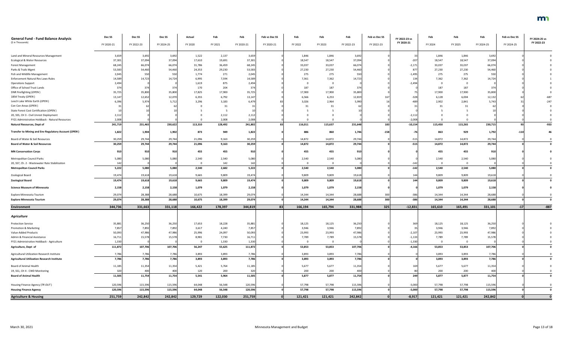| <b>General Fund - Fund Balance Analysis</b><br>(\$ in Thousands) | Dec <sub>SS</sub><br>FY 2020-21 | Dec SS<br>FY 2022-23 | Dec SS<br>FY 2024-25 | Actual<br>FY 2020 | Feb<br>FY 2021 | Feb<br>FY 2020-21 | Feb vs Dec SS<br>FY 2020-21 | Feb<br>FY 2022 | Feb<br>FY 2023          | Feb<br>FY 2022-23 | Feb vs Dec SS<br>FY 2022-23 | FY 2022-23 vs<br>FY 2020-21 | Feb<br>FY 2024 | Feb<br>FY 2025 | Feb<br>FY 2024-25 | Feb vs Dec SS<br>FY 2024-25 | FY 2024-25 vs<br>FY 2022-23 |
|------------------------------------------------------------------|---------------------------------|----------------------|----------------------|-------------------|----------------|-------------------|-----------------------------|----------------|-------------------------|-------------------|-----------------------------|-----------------------------|----------------|----------------|-------------------|-----------------------------|-----------------------------|
|                                                                  |                                 |                      |                      |                   |                |                   |                             |                |                         |                   |                             |                             |                |                |                   |                             |                             |
| Land and Mineral Resources Management                            | 3,659                           | 3,692                | 3,692                | 1,522             | 2,137          | 3,659             |                             | 1,846          | 1,846                   | 3,692             |                             |                             | 1,846          | 1,846          | 3,692             |                             |                             |
| Ecological & Water Resources                                     | 37,301                          | 37,094               | 37,094               | 17,610            | 19,691         | 37,301            |                             | 18,547         | 18,547                  | 37,094            |                             | $-207$                      | 18,547         | 18,547         | 37,094            |                             |                             |
| <b>Forest Management</b>                                         | 68,245                          | 66,074               | 66,074               | 31,786            | 36,459         | 68,245            |                             | 33,037         | 33,037                  | 66,074            |                             | $-2,17$                     | 33,037         | 33,037         | 66,074            |                             |                             |
| Parks & Trails Mgmt                                              | 53,583                          | 54,460               | 54,460               | 24,353            | 29,230         | 53,583            |                             | 27,230         | 27,230                  | 54,460            |                             | 877                         | 27,230         | 27,230         | 54,460            |                             |                             |
| Fish and Wildlife Management                                     | 2,045                           | 550                  | 550                  | 1,774             | 271            | 2,045             |                             | 275            | 275                     | 550               |                             | $-1,495$                    | 275            | 275            | 550               |                             |                             |
| Enforcement Natural Res Laws-Rules                               | 14,589                          | 14,723               | 14,724               | 6,995             | 7,594          | 14,589            |                             | 7,361          | 7,362                   | 14,723            |                             |                             | 7,362          | 7,362          | 14,724            |                             |                             |
| <b>Operations Support</b>                                        | 2,494                           |                      |                      | 1,619             | 875            | 2,494             |                             |                | - 0                     |                   |                             | $-2.494$                    |                | 0              |                   |                             |                             |
| Office of School Trust Lands                                     | 374                             | 374                  | 374                  | 170               | 204            | 374               |                             | 187            | 187                     | 374               |                             |                             | 187            | 187            | 374               |                             |                             |
| DNR Firefighting (OPEN)                                          | 35,725                          | 35,800               | 35,800               | 17,825            | 17,900         | 35,725            |                             | 17,900         | 17,900                  | 35,800            |                             |                             | 17,900         | 17,900         | 35,800            |                             |                             |
| 1854 Treaty (OPEN)                                               | 13,147                          | 12,652               | 12,070               | 6,355             | 6,792          | 13,147            |                             | 6,566          | 6,253                   | 12,81             |                             | $-328$                      | 6,128          | 6,004          | 12,132            |                             | $-687$                      |
| Leech Lake White Earth (OPEN)                                    | 6,396                           | 5,974                | 5,712                | 3,296             | 3,183          | 6,479             |                             | 3,026          | 2,964                   | 5,990             |                             |                             | 2,902          | 2,841          | 5,743             |                             | $-247$                      |
| Con Con Areas (OPEN)                                             |                                 |                      |                      |                   | 31             |                   |                             |                | 31                      | 62                |                             |                             |                |                |                   |                             |                             |
| State Forest Cost Certification (OPEN)                           |                                 |                      |                      |                   |                |                   |                             |                |                         |                   |                             |                             |                |                |                   |                             |                             |
| 20, SS5, CH 3 - Civil Unrest Deployment                          | 2,112                           |                      |                      |                   | 2,112          | 2,112             |                             |                |                         |                   |                             | $-2,112$                    |                |                |                   |                             |                             |
| FY21 Administrative Holdback - Natural Resources                 | 2,008                           |                      |                      |                   | 2,008          | 2,008             |                             |                |                         |                   |                             | $-2,008$                    |                |                |                   |                             |                             |
| <b>Natural Resources, Dept of</b>                                | 241,719                         | 231,465              | 230,622              | 113,310           | 128,492        | 241,802           |                             | 116,011        | 115,637                 | 231,648           | 183                         | $-10,154$                   | 115,450        | 115,265        | 230,715           | 93                          | $-933$                      |
| Transfer to Mining and Env Regulatory Account (OPEN)             | 1,822                           | 1,904                | 1,902                | 873               | 949            | 1,822             |                             | 886            | 860                     | 1,746             | $-158$                      |                             | 863            | 929            | 1,792             |                             |                             |
| Board of Water & Soil Resources                                  | 30,259                          | 29,744               | 29,744               | 21,096            | 9,163          | 30,259            |                             | 14,872         | 14,872                  | 29,744            |                             | $-515$                      | 14,872         | 14,872         | 29,744            |                             |                             |
| <b>Board of Water &amp; Soil Resources</b>                       | 30,259                          | 29,744               | 29,744               | 21,096            | 9,163          | 30,259            |                             | 14,872         | 14,872                  | 29,744            |                             | $-515$                      | 14,872         | 14,872         | 29,744            |                             |                             |
| <b>MN Conservation Corps</b>                                     |                                 | 910                  | 910                  | 455               | 455            | 910               |                             | 455            | 455                     | 910               |                             |                             | 455            | 455            | 910               |                             |                             |
| Metropolitan Council Parks                                       | 5,080                           | 5,080                | 5,080                | 2,540             | 2,540          | 5,080             |                             | 2,540          | 2,540                   | 5,080             |                             |                             | 2,540          | 2,540          | 5,080             |                             |                             |
| 20, SS7, Ch. 2 - Wastewater Rate Stabilization                   | 142                             |                      |                      |                   | 142            | 142               |                             |                |                         |                   |                             |                             |                |                |                   |                             |                             |
| <b>Metropolitan Council Parks</b>                                | 5,222                           | 5,080                | 5,080                | 2,540             | 2,682          | 5,222             |                             | 2,540          | 2,540                   | 5,080             |                             | $-142$                      | 2,540          | 2,540          | 5,080             |                             |                             |
| Zoological Board                                                 | 19,474                          | 19,618               | 19,618               | 9,665             | 9,809          | 19,474            |                             | 9,809          | 9,809                   | 19,618            |                             |                             | 9,809          | 9,809          | 19,618            |                             |                             |
| <b>Zoological Board</b>                                          | 19,474                          | 19,618               | 19,618               | 9,665             | 9,809          | 19,474            |                             | 9,809          | 9,809                   | 19,618            |                             | $111$                       | 9,809          | 9,809          | 19,618            |                             |                             |
| <b>Science Museum of Minnesota</b>                               | 2,158                           | 2,158                | 2,158                | 1,079             | 1,079          | 2,158             |                             | 1,079          | 1,079                   | 2,158             |                             |                             | 1,079          | 1,079          | 2,158             |                             |                             |
| Explore Minnesota Tourism                                        | 29,074                          | 28,388               | 28,688               | 10,675            | 18,399         | 29,074            |                             | 14,344         | 14,344                  | 28,688            | 300                         | $-386$                      | 14,344         | 14,344         | 28,688            |                             |                             |
| <b>Explore Minnesota Tourism</b>                                 | 29,074                          | 28,388               | 28,688               | 10,675            | 18,399         | 29,074            |                             | 14,344         | 14,344                  | 28,688            | 300                         | $-386$                      | 14,344         | 14,344         | 28,688            |                             |                             |
| <b>Environment</b>                                               | 344,736                         | 331,663              | 331,118              | 166,422           | 178,397        | 344,819           | 83                          | 166,194        | 165,794                 | 331,988           | 325                         | $-12,831$                   | 165,610        | 165,491        | 331,101           | $-17$                       | $-887$                      |
| <b>Agriculture</b>                                               |                                 |                      |                      |                   |                |                   |                             |                |                         |                   |                             |                             |                |                |                   |                             |                             |
| <b>Protection Service</b>                                        | 35,881                          | 36,250               | 36,250               | 17,653            | 18,228         | 35,881            |                             | 18,125         | 18,125                  | 36,250            |                             |                             | 18,125         | 18,125         | 36,250            |                             |                             |
| Promotion & Marketing                                            | 7,85                            | 7,892                | 7,892                | 3,617             | 4,240          | 7,857             |                             | 3,946          | 3,946                   | 7,892             |                             |                             | 3,946          | 3,946          | 7,892             |                             |                             |
| Value-Added Products                                             | 50,093                          | 47,986               | 47,986               | 25,996            | 24,097         | 50,093            |                             | 23,993         | 23,993                  | 47,986            |                             | $-2,107$                    | 23,993         | 23,993         | 47,986            |                             |                             |
| Admin & Financial Assistance                                     | 16,711                          | 15,578               | 15,578               | 8,981             | 7,730          | 16,711            |                             | 7,789          | 7,789                   | 15,578            |                             | $-1,133$                    | 7,789          | 7,789          | 15,578            |                             |                             |
| FY21 Administrative Holdback - Agriculture                       | 1,330                           |                      |                      |                   | 1,330          | 1,330             |                             |                | $\overline{\mathbf{0}}$ |                   |                             | $-1,330$                    | $\Omega$       | $\Omega$       |                   |                             |                             |
| Agriculture, Dept of                                             | 111,872                         | 107,706              | 107,706              | 56,247            | 55,625         | 111,872           |                             | 53,853         | 53,853                  | 107,706           |                             | $-4,166$                    | 53,853         | 53,853         | 107,706           |                             |                             |
| Agricultural Utilization Research Institute                      | 7,786                           | 7,786                | 7,786                | 3,893             | 3,893          | 7,786             |                             | 3,893          | 3,893                   | 7,786             |                             |                             | 3,893          | 3,893          | 7,786             |                             |                             |
| <b>Agricultural Utilization Research Institute</b>               | 7,786                           | 7,786                | 7,786                | 3,893             | 3,893          | 7,786             |                             | 3,893          | 3,893                   | 7,786             |                             |                             | 3,893          | 3,893          | 7,786             |                             |                             |
| Board of Animal Health                                           | 11,18                           | 11,354               | 11,354               | 5,421             | 5,764          | 11,185            |                             | 5,677          | 5,677                   | 11,354            |                             |                             | 5,677          | 5,677          | 11,354            |                             |                             |
| 19, SS1, CH 4 - CWD Monitoring                                   | 320                             | 400                  | 400                  | 120               | 200            | 320               |                             | 200            | 200                     | 400               |                             |                             | 200            | 200            | 400               |                             |                             |
| <b>Board of Animal Health</b>                                    | 11,505                          | 11,754               | 11,754               | 5,541             | 5,964          | 11,505            |                             | 5,877          | 5,877                   | 11,754            |                             | <b>249</b>                  | 5,877          | 5,877          | 11,754            |                             |                             |
| Housing Finance Agency (TR OUT)                                  | 120,596                         | 115,596              | 115,596              | 64,048            | 56,548         | 120,596           |                             | 57,798         | 57,798                  | 115,596           |                             | $-5,000$                    | 57,798         | 57,798         | 115,596           |                             |                             |
| <b>Housing Finance Agency</b>                                    | 120,596                         | 115,596              | 115,596              | 64,048            | 56,548         | 120,596           |                             | 57,798         | 57,798                  | 115,596           |                             | $-5,000$                    | 57,798         | 57,798         | 115,596           |                             |                             |
| <b>Agriculture &amp; Housing</b>                                 | 251,759                         | 242,842              | 242,842              | 129,729           | 122,030        | 251,759           |                             | 121,421        | 121,421                 | 242,842           | - Ol                        | $-8,917$                    | 121,421        | 121,421        | 242,842           |                             |                             |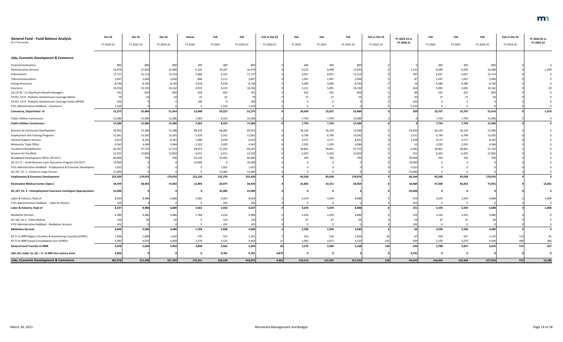| <b>General Fund - Fund Balance Analysis</b>                      | Dec <sub>SS</sub> | Dec SS     | Dec <sub>SS</sub> | Actual       | Feb     | Feb        | Feb vs Dec SS | Feb     | Feb     | Feb        | Feb vs Dec SS | FY 2022-23 vs | Feb     | Feb     | Feb        | Feb vs Dec SS | FY 2024-25 vs |
|------------------------------------------------------------------|-------------------|------------|-------------------|--------------|---------|------------|---------------|---------|---------|------------|---------------|---------------|---------|---------|------------|---------------|---------------|
| (\$ in Thousands)                                                | FY 2020-21        | FY 2022-23 | FY 2024-25        | FY 2020      | FY 2021 | FY 2020-21 | FY 2020-21    | FY 2022 | FY 2023 | FY 2022-23 | FY 2022-23    | FY 2020-21    | FY 2024 | FY 2025 | FY 2024-25 | FY 2024-25    | FY 2022-23    |
| <b>Jobs, Economic Development &amp; Commerce</b>                 |                   |            |                   |              |         |            |               |         |         |            |               |               |         |         |            |               |               |
| <b>Financial Institutions</b>                                    | 800               | 800        | 800               | 400          | 400     | 800        |               | 400     | 400     | 800        |               |               | 400     | 400     | 800        |               |               |
| <b>Administrative Services</b>                                   | 16,479            | 17,620     | 16,580            | 6,232        | 10,247  | 16,479     |               | 9,122   | 8,498   | 17,620     |               | 1,14          | 8,290   | 8,290   | 16,580     |               | $-1,040$      |
| Enforcement                                                      | 11,727            | 12,114     | 12,114            | 5,586        | 6,141   | 11,727     |               | 6,057   | 6,057   | 12,114     |               | 38            | 6,057   | 6,057   | 12,114     |               |               |
| Telecommunications                                               | 2,007             | 2,094      | 2,094             | 896          | 1,111   | 2,007      |               | 1,047   | 1,047   | 2,094      |               |               | 1,047   | 1,047   | 2,094      |               |               |
| <b>Energy Resources</b>                                          | 8,746             | 8,760      | 8,760             | 4,518        | 4,228   | 8,746      |               | 4,380   | 4,380   | 8,760      |               |               | 4,380   | 4,380   | 8,760      |               |               |
| Insurance                                                        | 10,356            | 10,192     | 10,162            | 4,933        | 5,423   | 10,356     |               | 5,111   | 5,081   | 10,192     |               | $-16$         | 5,081   | 5,081   | 10,162     |               |               |
| 19, CH 39 - Lic Reg Pharm Benefit Managers                       |                   | 850        | 850               | 358          | 403     |            |               | 425     | 425     | 850        |               |               | 425     | 425     | 850        |               |               |
| 19 SS1, CH 9 - Pediatric Autoimmune Coverage Admin               |                   |            |                   | 25           | 54      |            |               | 27      | 27      |            |               |               |         |         |            |               |               |
| 19 SS1, CH 9 - Pediatric Autoimmune Coverage Pymts (OPEN)        | 100               |            |                   | 100          |         |            |               |         |         |            |               | $-100$        |         |         |            |               |               |
| FY21 Administrative Holdback - Commerce                          | 1,220             |            |                   | $\Omega$     | 1,220   | 1,220      |               |         |         |            |               | $-1,220$      |         |         |            |               |               |
| Commerce, Department of                                          | 52,275            | 52,484     | 51,414            | 23,048       | 29,227  | 52,275     |               | 26,569  | 25,915  | 52,484     |               | 209           | 25,707  | 25,707  | 51,414     |               | $-1,070$      |
| <b>Public Utilities Commission</b>                               | 15,586            | 15,586     | 15,586            | 7,363        | 8,223   | 15,586     |               | 7,793   | 7,793   | 15,586     |               |               | 7,793   | 7,793   | 15,586     |               |               |
| <b>Public Utilities Commission</b>                               | 15,586            | 15,586     | 15,586            | 7,363        | 8,223   | 15,586     |               | 7,793   | 7,793   | 15,586     |               |               | 7,793   | 7,793   | 15,586     |               |               |
| <b>Business &amp; Community Development</b>                      | 94,952            | 72,286     | 72,286            | 48,270       | 46,682  | 94,952     |               | 36,143  | 36,143  | 72,286     |               | $-22,666$     | 36,143  | 36,143  | 72,286     |               |               |
| <b>Employment and Training Programs</b>                          | 11,061            | 13,592     | 13,592            | 5,529        | 5,532   | 11,061     |               | 6,796   | 6,796   | 13,592     |               | 2,531         | 6,796   | 6,796   | 13,592     |               |               |
| <b>General Support Services</b>                                  | 6,014             | 8,342      | 8,342             | 1,580        | 4,434   | 6,014      |               | 4,171   | 4,171   | 8,342      |               | 2,328         | 4,171   | 4,171   | 8,342      |               |               |
| Minnesota Trade Office                                           | 4,562             | 4,584      | 4,584             | 2,103        | 2,459   | 4,562      |               | 2,292   | 2,292   | 4,584      |               |               | 2,292   | 2,292   | 4,584      |               |               |
| <b>Vocational Rehabilitation</b>                                 | 60,207            | 57,722     | 57,722            | 28,973       | 31,234  | 60,207     |               | 28,861  | 28,861  | 57,722     |               | $-2,485$      | 28,861  | 28,861  | 57,722     |               |               |
| Services for the Blind                                           | 13,102            | 12,850     | 12,850            | 6,551        | 6,551   | 13,102     |               | 6,425   | 6,425   | 12,850     |               | $-252$        | 6,425   | 6,425   | 12,850     |               |               |
| Broadband Development Office (TR-OUT)                            | 40,600            | 700        | 700               | 20,144       | 20,456  | 40,600     |               | 350     | 350     | 700        |               | $-39,900$     | 350     | 350     | 700        |               |               |
| 20, CH 71 - Small Business Loan Guarantee Program (TR OUT)       | 10,000            |            |                   | 10,000       | - 0     | 10,000     |               |         |         |            |               | $-10,000$     |         |         |            |               |               |
| FY21 Administrative Holdback - Employment & Economic Developmer  | 1,022             |            |                   |              | 1,022   | 1,022      |               |         |         |            |               | $-1,022$      |         |         |            |               |               |
| 20, SS7, Ch. 2 - Grants to Large Venues                          | 13,900            |            |                   |              | 13,900  | 13,900     |               |         |         |            |               | $-13,900$     |         |         |            |               |               |
| <b>Employment &amp; Economic Development</b>                     | 255,420           | 170,076    | 170,076           | 123,150      | 132,270 | 255,420    |               | 85,038  | 85,038  | 170,076    |               | $-85,344$     | 85,038  | 85,038  | 170,076    |               |               |
| <b>Destination Medical Center (Open)</b>                         | 34,470            | 58,954     | 73,955            | 13,493       | 20,977  | 34,470     |               | 25,803  | 33,151  | 58,954     |               | 24,484        | 37,500  | 36,455  | 73,955     |               | 15,001        |
| 20, SS7, Ch. 2 - Unemployment Insurance Contingent Appropriation | 25,000            |            |                   |              | 25,000  | 25,000     |               |         |         |            |               | $-25,000$     |         |         |            |               |               |
| Labor & Industry, Dept of                                        | 8,034             | 8,488      | 6,688             | 2,581        | 5,453   | 8,034      |               | 4,244   | 4,244   | 8,488      |               | 454           | 3,344   | 3,344   | 6,688      |               | $-1,800$      |
| FY21 Administrative Holdback - Labor & Industry                  | 203               |            |                   | $\mathbf{0}$ | 203     | 203        |               |         |         |            |               | $-203$        |         |         |            |               |               |
| Labor & Industry, Dept of                                        | 8,237             | 8,488      | 6,688             | 2,581        | 5,656   | 8,237      |               | 4,244   | 4,244   | 8,488      |               | 251           | 3,344   | 3,344   | 6,688      |               | $-1,800$      |
| <b>Mediation Services</b>                                        | 4,384             | 4,486      | 4,486             | 1,768        | 2,616   | 4,384      |               | 2,243   | 2,243   | 4,486      |               | 102           | 2,243   | 2,243   | 4,486      |               |               |
| 20, SS2, CH 2 - Police Reform                                    | 120               |            |                   |              | 120     |            |               | 47      | 47      |            |               |               |         | 47      |            |               |               |
| FY21 Administrative Holdback - Mediation Services                | 102 <sub>1</sub>  |            |                   | $\mathbf 0$  | 102     |            |               |         |         |            |               |               |         |         |            |               |               |
| <b>Mediation Services</b>                                        | 4,606             | 4,580      | 4,580             | 1,768        | 2,838   | 4.606      |               | 2,290   | 2,290   | 4,580      |               |               | 2,290   | 2,290   | 4,580      |               |               |
| GF Tr to IRRR Region 3 (Carlton & Koochiching Counties) (OPEN)   | 1,096             | 1,008      | 1,010             | 570          | 531     | 1,101      |               | 516     | 518     | 1,034      |               |               | 558     | 567     | 1,125      |               | 91            |
| GF Tr to IRRR School Consolidation Acct (OPEN)                   | 4,382             | 4,032      | 4,040             | 2,278        | 2,125   | 4,403      |               | 2,063   | 2,071   | 4,134      |               | $-269$        | 2,230   | 2,270   | 4,500      | 460           | 366           |
| <b>General Fund Transfer to IRRR</b>                             | 5,478             | 5,040      | 5,050             | 2,848        | 2,656   | 5,504      |               | 2,579   | 2,589   | 5,168      | 128           | $-336$        | 2,788   | 2,837   | 5,625      | 575           | 457           |
| 16A.152, Subd. 2a. (6) - Tr. to MN 21st century fund             | 4,906             |            |                   |              | 9,781   | 9,781      | 4,875         |         |         |            |               | $-9,781$      |         |         |            |               |               |
| <b>Jobs, Economic Development &amp; Commerce</b>                 | 405,978           | 315,208    | 327,349           | 174,251      | 236,628 | 410,879    | 4,901         | 154,316 | 161,020 | 315,336    | <b>128</b>    | $-95,543$     | 164,460 | 163,464 | 327,924    | 575           | 12,588        |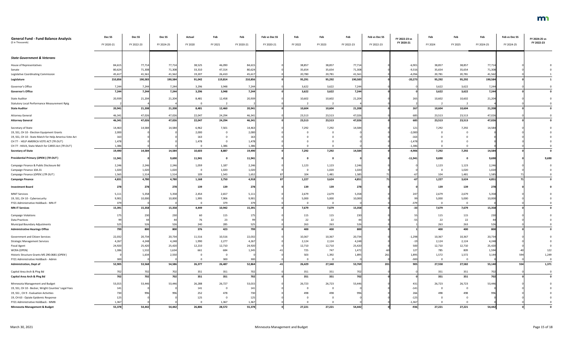| <b>General Fund - Fund Balance Analysis</b>            | Dec SS     | Dec SS     | Dec SS     | Actual  | Feb     | Feb             | Feb vs Dec SS | Feb     | Feb            | Feb        | Feb vs Dec SS | FY 2022-23 vs | Feb      | Feb      | Feb        | Feb vs Dec SS | FY 2024-25 vs |
|--------------------------------------------------------|------------|------------|------------|---------|---------|-----------------|---------------|---------|----------------|------------|---------------|---------------|----------|----------|------------|---------------|---------------|
| (\$ in Thousands)                                      | FY 2020-21 | FY 2022-23 | FY 2024-25 | FY 2020 | FY 2021 | FY 2020-21      | FY 2020-21    | FY 2022 | FY 2023        | FY 2022-23 | FY 2022-23    | FY 2020-21    | FY 2024  | FY 2025  | FY 2024-25 | FY 2024-25    | FY 2022-23    |
|                                                        |            |            |            |         |         |                 |               |         |                |            |               |               |          |          |            |               |               |
| <b>State Government &amp; Veterans</b>                 |            |            |            |         |         |                 |               |         |                |            |               |               |          |          |            |               |               |
| House of Representatives                               | 84,615     | 77,714     | 77,714     | 38,525  | 46,090  | 84,615          |               | 38,857  | 38,857         | 77,714     |               | $-6,901$      | 38,857   | 38,857   | 77,714     |               |               |
| Senate                                                 | 80,624     | 71,308     | 71,308     | 33,310  | 47,314  | 80,624          |               | 35,654  | 35,654         | 71,308     |               | $-9,316$      | 35,654   | 35,654   | 71,308     |               |               |
| Legislative Coordinating Commission                    | 45,617     | 41,561     | 41,562     | 19,207  | 26,410  | 45,617          |               | 20,780  | 20,781         | 41,56      |               | $-4,056$      | 20,781   | 20,781   | 41,562     |               |               |
| Legislature                                            | 210,856    | 190,583    | 190,584    | 91,042  | 119,814 | 210,856         |               | 95,291  | 95,292         | 190,583    |               | $-20,273$     | 95,292   | 95,292   | 190,584    |               |               |
| Governor's Office                                      | 7,244      | 7,244      | 7,244      | 3,296   | 3,948   | 7,244           |               | 3,622   | 3,622          | 7,244      |               |               | 3,622    | 3,622    | 7,244      |               |               |
| <b>Governor's Office</b>                               | 7,244      | 7,244      | 7,244      | 3,296   | 3,948   | 7,244           |               | 3,622   | 3,622          | 7,244      |               |               | 3,622    | 3,622    | 7,244      |               |               |
| <b>State Auditor</b>                                   | 20,939     | 21,204     | 21,204     | 8,481   | 12,458  | 20,939          |               | 10,602  | 10,602         | 21,204     |               | 265           | 10,602   | 10,602   | 21,204     |               |               |
| <b>Statutory Local Performance Measurement Rptg</b>    |            |            |            |         |         |                 |               |         |                |            |               |               |          |          |            |               |               |
| <b>State Auditor</b>                                   | 20,941     | 21,208     | 21,208     | 8,481   | 12,460  | 20,941          |               | 10,604  | 10,604         | 21,208     |               | 267           | 10,604   | 10,604   | 21,208     |               |               |
| <b>Attorney General</b>                                | 46,341     | 47,026     | 47,026     | 22,047  | 24,294  | 46,341          |               | 23,513  | 23,513         | 47,026     |               | 685           | 23,513   | 23,513   | 47,026     |               |               |
| <b>Attorney General</b>                                | 46,341     | 47,026     | 47,026     | 22,047  | 24,294  | 46,341          |               | 23,513  | 23,513         | 47,026     |               | 685           | 23,513   | 23,513   | 47,026     |               |               |
| Secretary of State                                     | 14,463     | 14,584     | 14,584     | 6,962   | 7,501   | 14,463          |               | 7,292   | 7,292          | 14,584     |               | 121           | 7,292    | 7,292    | 14,584     |               |               |
| 19, SS1, CH 10 - Election Equipment Grants             | 2,000      |            |            | 2,000   |         | 2,000           |               |         |                |            |               | $-2,000$      |          |          |            |               |               |
| 19, SS1, CH 10 - State Match for Help America Vote Act | 163        |            |            | 163     |         | 16 <sup>3</sup> |               |         |                |            |               | $-163$        |          |          |            |               |               |
| CH 77 - HELP AMERICA VOTE ACT (TR OUT)                 | 1,478      |            |            | 1,478   |         | 1,478           |               |         |                |            |               | $-1,478$      |          |          |            |               |               |
| CH 77 - HAVA, State Match for CARES Act (TR OUT)       | 1,386      |            |            |         | 1,386   | 1,386           |               |         |                |            |               | $-1,38$       |          |          |            |               |               |
| <b>Secretary of State</b>                              | 19,490     | 14,584     | 14,584     | 10,603  | 8,887   | 19,490          |               | 7,292   | 7,292          | 14,584     |               | $-4,906$      | 7,292    | 7,292    | 14,584     |               |               |
| Presidential Primary (OPEN) (TR OUT)                   | 11,941     |            | 9,690      | 11,941  |         | 11,941          |               |         |                |            |               | $-11,941$     | 9,690    |          | 9,690      |               | 9,690         |
| Campaign Finance & Public Disclosure Bd                | 2,246      | 2,246      | 2,246      | 1,059   | 1,187   | 2,246           |               | 1,123   | 1,123          | 2,246      |               |               | 1,123    | 1,123    | 2,246      |               |               |
| Campaign Finance 10A.31                                | 1,020      | 1,020      | 1,020      |         | 1,020   | 1,020           |               |         | 1,020          | 1,020      |               |               |          | 1,020    | 1,020      |               |               |
| Campaign Finance (OPEN) (TR OUT)                       | 1,565      | 1,514      | 1,514      | 109     | 1,543   | 1,652           |               | 104     | 1,481          | 1,585      |               |               | 104      | 1,481    | 1,585      |               |               |
| <b>Campaign Finance</b>                                | 4.831      | 4,780      | 4,780      | 1.168   | 3.750   | 4.918           |               | 1.227   | 3.624          | 4.851      | 71            |               | 1.227    | 3.624    | 4.851      |               |               |
| <b>Investment Board</b>                                | 278        | 278        | 278        | 139     | 139     |                 |               | 139     | 139            | 278        |               |               | 139      | 139      | 278        |               |               |
| <b>MNIT Services</b>                                   | 5,111      | 5,358      | 5,358      | 2,454   | 2,657   | 5,111           |               | 2,679   | 2,679          | 5,358      |               | 247           | 2,679    | 2,679    | 5,358      |               |               |
| 19, SS1, CH 10 - Cybersecurity                         | 9,901      | 10,000     | 10,000     | 1,995   | 7,906   | 9,901           |               | 5,000   | 5,000          | 10,000     |               |               | 5,000    | 5,000    | 10,000     |               |               |
| FY21 Administrative Holdback - MN-IT                   | 379        |            |            |         | 379     | 379             |               |         | $\overline{0}$ |            |               |               |          | $\Omega$ |            |               |               |
| <b>MN-IT Services</b>                                  | 15,391     | 15,358     | 15,358     | 4,449   | 10,942  | 15,391          |               | 7,679   | 7,679          | 15,358     |               |               | 7,679    | 7,679    | 15,358     |               |               |
| <b>Campaign Violations</b>                             |            | 230        | 230        | 60      | 115     | 175             |               | 115     | 115            | 230        |               |               | 115      | 115      | 230        |               |               |
| <b>Data Practices</b>                                  |            |            |            | 76      | 23      |                 |               | 22      | 22             |            |               |               | 22       | 22       |            |               |               |
| Municipal Boundary Adjustments                         | 525        | 526        | 526        | 240     | 285     | 525             |               | 263     | 263            | 526        |               |               | 263      | 263      | 526        |               |               |
| <b>Administrative Hearings Office</b>                  | 799        | 800        | 800        | 376     | 423     | 799             |               | 400     | 400            | 800        |               |               | 400      | 400      | 800        |               |               |
| Government and Citizen Services                        | 22,032     | 20,734     | 20,734     | 11,516  | 10,516  | 22,032          |               | 10,367  | 10,367         | 20,734     |               | $-1,298$      | 10,367   | 10,367   | 20,734     |               |               |
| <b>Strategic Management Services</b>                   | 4,267      | 4,248      | 4,248      | 1,990   | 2,277   | 4,267           |               | 2,124   | 2,124          | 4,248      |               |               | 2,124    | 2,124    | 4,248      |               |               |
| <b>Fiscal Agent</b>                                    | 24,920     | 25,420     | 25,420     | 12,210  | 12,710  | 24,920          |               | 12,710  | 12,710         | 25,420     |               | 500           | 12,710   | 12,710   | 25,420     |               |               |
| WCRA (OPEN)                                            | 1,386      | 1,532      | 1,634      | 661     | 684     | 1,345           |               | 725     | 747            | 1,472      |               | $12^{\circ}$  | 785      | 809      | 1,594      |               |               |
| Historic Structure Grants MS 290.0681 (OPEN)           |            | 1,634      | 2,550      |         |         |                 |               | 503     | 1,392          | 1,895      |               | 1,895         | 1,572    | 1,572    | 3,144      | 594           | 1,249         |
| FY21 Administrative Holdback - Admin                   | 300        |            |            |         | 300     | 300             |               |         | $\Omega$       |            |               | $-300$        | $\Omega$ | $\Omega$ |            |               |               |
| <b>Administration, Dept of</b>                         | 52,905     | 53,568     | 54,586     | 26,377  | 26,487  | 52,864          |               | 26,429  | 27,340         | 53,769     | 201           | 905           | 27,558   | 27,582   | 55,140     | 554           | 1,371         |
| Capitol Area Arch & Plng Bd                            | 702        | 702        | 702        | 351     | 351     | 702             |               | 351     | 351            | 702        |               |               | 351      | 351      | 702        |               |               |
| Capitol Area Arch & Plng Bd                            | 702        | 702        | 702        | 351     | 351     | 702             |               | 351     | 351            | 702        |               |               | 351      | 351      | 702        |               |               |
| Minnesota Management and Budget                        | 53,015     | 53,446     | 53,446     | 26,288  | 26,727  | 53,015          |               | 26,723  | 26,723         | 53,446     |               | 431           | 26,723   | 26,723   | 53,446     |               |               |
| 19, SS1, CH 10 - Becker, Wright Counties' Legal Fees   | 141        |            |            | 141     |         | $14^{\circ}$    |               |         |                |            |               | $-141$        |          |          |            |               |               |
| 19, SS1, CH 9 - Evaluation Activities                  | 730        | 996        | 996        | 252     | 478     |                 |               | 498     | 498            | 996        |               | 266           |          | 498      |            |               |               |
| 19, CH 63 - Opiate Epidemic Response                   | 125        |            |            | 125     |         | 12!             |               |         |                |            |               | $-125$        |          |          |            |               |               |
| FY21 Administrative Holdback - MMB                     | 1,367      |            |            |         | 1,367   | 1,367           |               |         |                |            |               | $-1,36$       |          |          |            |               |               |
| <b>Minnesota Management &amp; Budget</b>               | 55,378     | 54,442     | 54,442     | 26,806  | 28,572  | 55,378          |               | 27,221  | 27,221         | 54,442     |               | $-936$        | 27,221   | 27,221   | 54,442     |               |               |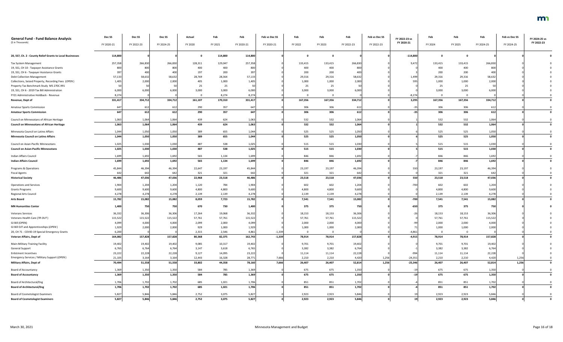| <b>General Fund - Fund Balance Analysis</b>               | Dec SS     | Dec <sub>SS</sub> | Dec SS     | Actual  | Feb     | Feb        | Feb vs Dec SS | Feb     | Feb                     | Feb        | Feb vs Dec SS | FY 2022-23 vs | Feb          | Feb      | Feb        | Feb vs Dec SS | FY 2024-25 vs |
|-----------------------------------------------------------|------------|-------------------|------------|---------|---------|------------|---------------|---------|-------------------------|------------|---------------|---------------|--------------|----------|------------|---------------|---------------|
| (\$ in Thousands)                                         | FY 2020-21 | FY 2022-23        | FY 2024-25 | FY 2020 | FY 2021 | FY 2020-21 | FY 2020-21    | FY 2022 | FY 2023                 | FY 2022-23 | FY 2022-23    | FY 2020-21    | FY 2024      | FY 2025  | FY 2024-25 | FY 2024-25    | FY 2022-23    |
| 20, SS7, Ch. 2 - County Relief Grants to Local Businesses | 114,800    |                   |            |         | 114,800 | 114,800    |               |         |                         |            |               | $-114,800$    | $\mathbf{0}$ |          |            |               |               |
| Tax System Management                                     | 257,358    | 266,830           | 266,830    | 128,311 | 129,047 | 257,358    |               | 133,415 | 133,415                 | 266,830    |               | 9,472         | 133,415      | 133,415  | 266,830    |               |               |
| 19, SS1, CH 10 - Taxpayer Assistance Grants               | 800        | 800               | 800        | 400     | 400     | -800       |               | 400     | 400                     | 800        |               |               | 400          | 400      | 800        |               |               |
| 19, SS1, CH 6 - Taxpayer Assistance Grants                | 397        | 400               | 400        | 197     | 200     |            |               | 200     | 200                     | 400        |               |               | 200          | 200      | 400        |               |               |
| <b>Debt Collection Management</b>                         | 57,133     | 58,632            | 58,632     | 28,769  | 28,364  | 57,133     |               | 29,316  | 29,316                  | 58,632     |               | 1,499         | 29,316       | 29,316   | 58,632     |               |               |
| Collections, Seized Property, Recording Fees (OPEN)       | 1,405      | 2,000             | 2,000      | 405     | 1,000   | 1,405      |               | 1,000   | 1,000                   | 2,000      |               | 595           | 1,000        | 1,000    | 2,000      |               |               |
| Property Tax Benchmark Study MS 270C.991                  |            |                   |            | 25      | 25      |            |               | 25      | 25                      | 50         |               |               | 25           | 25       |            |               |               |
| 19, SS1, CH 6 - 2019 Tax Bill Administration              | 6,000      | 6,000             | 6,000      | 3,000   | 3,000   | 6,000      |               | 3,000   | 3,000                   | 6,000      |               |               | 3,000        | 3,000    | 6,000      |               |               |
| FY21 Administrative Holdback - Revenue                    | 8,274      |                   |            |         | 8,274   | 8,274      |               |         | - 0                     |            |               | $-8,274$      |              | $\Omega$ |            |               |               |
| Revenue, Dept of                                          | 331,417    | 334,712           | 334,712    | 161,107 | 170,310 | 331,417    |               | 167,356 | 167,356                 | 334,712    |               | 3,295         | 167,356      | 167,356  | 334,712    |               |               |
| <b>Amateur Sports Commission</b>                          | 647        | 612               | 612        | 290     | 357     | 647        |               | 306     | 306                     | 612        |               |               | 306          | 306      | 612        |               |               |
| <b>Amateur Sports Commission</b>                          | 647        | 612               | 612        | 290     | 357     | 647        |               | 306     | 306                     | 612        |               |               | 306          | 306      | 612        |               |               |
| Council on Minnesotans of African Heritage                | 1,063      | 1,064             | 1,064      | 439     | 624     | 1,063      |               | 532     | 532                     | 1,064      |               |               | 532          | 532      | 1,064      |               |               |
| <b>Council on Minnesotans of African Heritage</b>         | 1,063      | 1,064             | 1,064      | 439     | 624     | 1,063      |               | 532     | 532                     | 1,064      |               |               | 532          | 532      | 1,064      |               |               |
| Minnesota Council on Latino Affairs                       | 1,044      | 1,050             | 1,050      | 389     | 655     | 1,044      |               | 525     | 525                     | 1,050      |               |               | 525          | 525      | 1,050      |               |               |
| <b>Minnesota Council on Latino Affairs</b>                | 1,044      | 1,050             | 1,050      | 389     | 655     | 1,044      |               | 525     | 525                     | 1,050      |               |               | 525          | 525      | 1,050      |               |               |
| Council on Asian-Pacific Minnesotans                      | 1,025      | 1,030             | 1,030      | 487     | 538     | 1,025      |               | 515     | 515                     | 1,030      |               |               | 515          | 515      | 1,030      |               |               |
| <b>Council on Asian-Pacific Minnesotans</b>               | 1,025      | 1,030             | 1,030      | 487     | 538     | 1,025      |               | 515     | 515                     | 1,030      |               |               | 515          | 515      | 1,030      |               |               |
| Indian Affairs Council                                    | 1,699      | 1,692             | 1,692      | 565     | 1,134   | 1,699      |               | 846     | 846                     | 1,692      |               |               | 846          | 846      | 1,692      |               |               |
| <b>Indian Affairs Council</b>                             | 1,699      | 1,692             | 1,692      | 565     | 1,134   | 1,699      |               | 846     | 846                     | 1,692      |               |               | 846          | 846      | 1,692      |               |               |
| Programs & Operations                                     | 45,844     | 46,394            | 46,394     | 22,647  | 23,197  | 45,844     |               | 23,197  | 23,197                  | 46,394     |               | 550           | 23,197       | 23,197   | 46,394     |               |               |
| <b>Fiscal Agents</b>                                      |            | 64                | 642        | 321     | 321     |            |               | 321     | 321                     | 642        |               |               | 321          | 321      | 642        |               |               |
| <b>Historical Society</b>                                 | 46,486     | 47,036            | 47,036     | 22,968  | 23,518  | 46,486     |               | 23,518  | 23,518                  | 47,036     |               | <b>550</b>    | 23,518       | 23,518   | 47,036     |               |               |
| <b>Operations and Services</b>                            | 1,904      | 1,204             | 1,204      | 1,120   | 784     | 1,904      |               | 602     | 602                     | 1,204      |               | $-700$        | 602          | 602      | 1,204      |               |               |
| <b>Grants Programs</b>                                    | 9,600      | 9,600             | 9,600      | 4,800   | 4,800   | 9,600      |               | 4,800   | 4,800                   | 9,600      |               |               | 4,800        | 4,800    | 9,600      |               |               |
| Regional Arts Council                                     | 4,278      | 4,278             | 4,278      | 2,139   | 2,139   | 4,278      |               | 2,139   | 2,139                   | 4,278      |               |               | 2,139        | 2,139    | 4,278      |               |               |
| <b>Arts Board</b>                                         | 15,782     | 15,082            | 15,082     | 8,059   | 7,723   | 15,782     |               | 7,541   | 7,541                   | 15,082     |               | $-700$        | 7,541        | 7,541    | 15,082     |               |               |
| <b>MN Humanities Center</b>                               | 1,400      | 750               | 750        | 670     | 730     | 1,400      |               | 375     | 375                     | 750        |               | $-650$        | 375          | 375      | 750        |               |               |
| <b>Veterans Services</b>                                  | 36,332     | 36,306            | 36,306     | 17,264  | 19,068  | 36,332     |               | 18,153  | 18,153                  | 36,306     |               |               | 18,153       | 18,153   | 36,306     |               |               |
| Veterans Health Care (TR OUT)                             | 115,522    | 115,522           | 115,522    | 57,761  | 57,761  | 115,522    |               | 57,761  | 57,761                  | 115,522    |               |               | 57,761       | 57,761   | 115,522    |               |               |
| GI Bill (OPEN)                                            | 4,099      | 4,000             | 4,000      | 2,099   | 2,000   | 4,099      |               | 2,000   | 2,000                   | 4,000      |               |               | 2,000        | 2,000    | 4,000      |               |               |
| GI Bill OJT and Apprenticeships (OPEN)                    | 1,929      | 2,000             | 2,000      | 929     | 1,000   | 1,929      |               | 1,000   | 1,000                   | 2,000      |               |               | 1,000        | 1,000    | 2,000      |               |               |
| 20, CH 71 - COVID-19 Special Emergency Grants             | 6,200      |                   |            | 2,315   | 2,546   | 4,861      | $-1,339$      | $\cap$  | $\overline{\mathbf{0}}$ |            |               | $-4,861$      | $\Omega$     | $\Omega$ |            |               |               |
| Veteran Affairs, Dept of                                  | 164,082    | 157,828           | 157,828    | 80,368  | 82,375  | 162,743    | $-1,339$      | 78,914  | 78,914                  | 157,828    |               | $-4,915$      | 78,914       | 78,914   | 157,828    |               |               |
| Main-Military Training Facility                           | 19,402     | 19,402            | 19,402     | 9,085   | 10,317  | 19,402     |               | 9,701   | 9,701                   | 19,402     |               |               | 9,701        | 9,701    | 19,402     |               |               |
| <b>General Support</b>                                    | 6,765      | 6,764             | 6,764      | 3,147   | 3,618   | 6,765      |               | 3,382   | 3,382                   | 6,764      |               |               | 3,382        | 3,382    | 6,764      |               |               |
| <b>Enlistment Incentives</b>                              | 23,222     | 22,228            | 22,228     | 9,127   | 14,095  | 23,222     |               | 11,114  | 11,114                  | 22,228     |               | $-994$        | 11,114       | 11,114   | 22,228     |               |               |
| Emergency Services / Military Support (OPEN)              | 21,105     | 3,164             | 3,164      | 12,443  | 16,328  | 28,771     | 7,666         | 2,210   | 2,210                   | 4,420      | 1,256         | $-24,351$     | 2,210        | 2,210    | 4,420      | 1,256         |               |
| <b>Military Affairs, Dept of</b>                          | 70,494     | 51,558            | 51,558     | 33,802  | 44,358  | 78,160     | 7,666         | 26,407  | 26,407                  | 52,814     | 1,256         | $-25,346$     | 26,407       | 26,407   | 52,814     | 1,256         |               |
| <b>Board of Accountancy</b>                               | 1,369      | 1,350             | 1,350      | 584     | 785     | 1,369      |               | 675     | 675                     | 1,350      |               |               | 675          | 675      | 1,350      |               |               |
| <b>Board of Accountancy</b>                               | 1,369      | 1,350             | 1,350      | 584     | 785     | 1,369      |               | 675     | 675                     | 1,350      |               |               | 675          | 675      | 1,350      |               |               |
| Board of Architectural/Eng                                | 1,706      | 1,702             | 1,702      | 685     | 1,021   | 1,706      |               | 851     | 851                     | 1,702      |               |               | 851          | 851      | 1,702      |               |               |
| <b>Board of Architectural/Eng</b>                         | 1,706      | 1,702             | 1,702      | 685     | 1,021   | 1,706      |               | 851     | 851                     | 1,702      |               |               | 851          | 851      | 1,702      |               |               |
| <b>Board of Cosmetologist Examiners</b>                   | 5,827      | 5,846             | 5,846      | 2,752   | 3,075   | 5,827      |               | 2,923   | 2,923                   | 5,846      |               |               | 2,923        | 2,923    | 5,846      |               |               |
| <b>Board of Cosmetologist Examiners</b>                   | 5,827      | 5,846             | 5,846      | 2,752   | 3,075   | 5,827      |               | 2,923   | 2,923                   | 5,846      |               |               | 2,923        | 2,923    | 5,846      |               |               |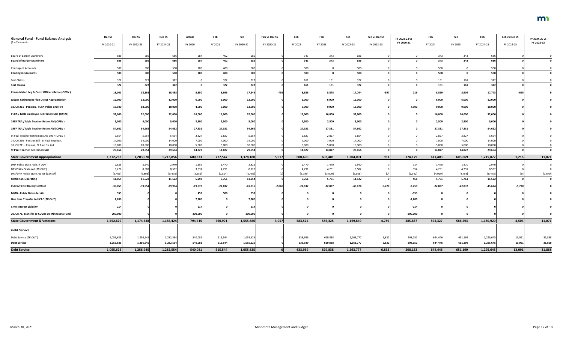| <b>General Fund - Fund Balance Analysis</b><br>(\$ in Thousands) | Dec SS<br>FY 2020-21 | Dec <sub>SS</sub><br>FY 2022-23 | Dec SS<br>FY 2024-25 | Actual<br>FY 2020 | Feb<br>FY 2021 | Feb<br>FY 2020-21 | Feb vs Dec SS<br>FY 2020-21 | Feb<br>FY 2022 | Feb<br>FY 2023 | Feb<br>FY 2022-23 | Feb vs Dec SS<br>FY 2022-23 | FY 2022-23 vs<br>FY 2020-21 | Feb<br>FY 2024 | Feb<br>FY 2025 | Feb<br>FY 2024-25 | Feb vs Dec SS<br>FY 2024-25 | FY 2024-25 vs<br>FY 2022-23 |
|------------------------------------------------------------------|----------------------|---------------------------------|----------------------|-------------------|----------------|-------------------|-----------------------------|----------------|----------------|-------------------|-----------------------------|-----------------------------|----------------|----------------|-------------------|-----------------------------|-----------------------------|
|                                                                  |                      |                                 |                      |                   |                |                   |                             |                |                |                   |                             |                             |                |                |                   |                             |                             |
| <b>Board of Barber Examiners</b>                                 |                      | 686                             | 686                  | 284               | 402            | 686               |                             | 343            | 343            |                   |                             |                             | 343            | 343            |                   |                             |                             |
| <b>Board of Barber Examiners</b>                                 |                      | 686                             | 686                  | 284               | 402            | 686               |                             | 343            | 343            | 686               |                             |                             | 343            | 343            | 686               |                             |                             |
| <b>Contingent Accounts</b>                                       | 500                  | 500                             | 500                  | 100               | 400            | 500               |                             | 500            | $\Omega$       | 500               |                             |                             | 500            |                | 500               |                             |                             |
| <b>Contingent Accounts</b>                                       | 500                  | 500                             | 500                  | 100               | 400            | 500               |                             | 500            | $\mathbf 0$    | 500               |                             |                             | 500            | $\Omega$       | 500               |                             |                             |
| <b>Tort Claims</b>                                               | 322                  | 322                             | 322                  |                   | 322            | 322               |                             | 161            | 161            | 322               |                             |                             | 161            | 161            | 322               |                             |                             |
| <b>Tort Claims</b>                                               | 322                  | 322                             | 322                  | $\mathbf{0}$      | 322            | 322               |                             | 161            | 161            | 322               |                             |                             | 161            | 161            | 322               |                             |                             |
| <b>Consolidated Leg &amp; Const Officers Retire (OPEN)</b>       | 18,001               | 18,361                          | 18,438               | 8,850             | 8,695          | 17,545            | $-456$                      | 8,886          | 8,878          | 17,764            | $-597$                      | 219                         | 8,869          | 8,904          | 17,773            | $-665$                      |                             |
| <b>Judges Retirement Plan Direct Appropriation</b>               | 12,000               | 12,000                          | 12,000               | 6,000             | 6,000          | 12,000            |                             | 6,000          | 6,000          | 12,000            |                             |                             | 6,000          | 6,000          | 12,000            |                             |                             |
| 18, CH 211 - Pension, PERA Police and Fire                       | 13,500               | 18,000                          | 18,000               | 4,500             | 9,000          | 13,500            |                             | 9,000          | 9,000          | 18,000            |                             | 4,500                       | 9,000          | 9,000          | 18,000            |                             |                             |
| PERA / Mpls Employee Retirement Aid (OPEN)                       | 32,000               | 32,000                          | 32,000               | 16,000            | 16,000         | 32,000            |                             | 16,000         | 16,000         | 32,000            |                             |                             | 16,000         | 16,000         | 32,000            |                             |                             |
|                                                                  |                      |                                 |                      |                   |                |                   |                             |                |                |                   |                             |                             |                |                |                   |                             |                             |
| 1993 TRA / Mpls Teacher Retire Aid (OPEN)                        | 5,000                | 5,000                           | 5,000                | 2,500             | 2,500          | 5,000             |                             | 2,500          | 2,500          | 5,000             |                             |                             | 2,500          | 2,500          | 5,000             |                             |                             |
| 1997 TRA / Mpls Teacher Retire Aid (OPEN)                        | 54,662               | 54,662                          | 54,662               | 27,331            | 27,331         | 54,662            |                             | 27,331         | 27,331         | 54,662            |                             |                             | 27,331         | 27,331         | 54,662            |                             |                             |
| St Paul Teacher Retirement Aid 1997 (OPEN)                       | 5,654                | 5,654                           | 5,654                | 2,827             | 2,827          | 5,654             |                             | 2,827          | 2,827          | 5,654             |                             |                             | 2,827          | 2,827          | 5,654             |                             |                             |
| 14, CH 296 - Pension Bill - St Paul Teachers                     | 14,000               | 14,000                          | 14,000               | 7,000             | 7,000          | 14,000            |                             | 7,000          | 7,000          | 14,000            |                             |                             | 7,000          | 7,000          | 14,000            |                             |                             |
| 18, CH 211 - Pension, St Paul Dir Aid                            | 10,000               | 10,000                          | 10,000               | 5,000             | 5,000          | 10,000            |                             | 5,000          | 5,000          | 10,000            |                             |                             | 5,000          | 5,000          | 10,000            |                             |                             |
| <b>St Paul Teacher Retirement Aid</b>                            | 29,654               | 29,654                          | 29,654               | 14,827            | 14,827         | 29,654            |                             | 14,827         | 14,827         | 29,654            |                             |                             | 14,827         | 14,827         | 29,654            |                             |                             |
| <b>State Government Appropriations</b>                           | 1,372,263            | 1,203,070                       | 1,213,856            | 600,633           | 777,547        | 1,378,180         | 5,917                       | 600,600        | 603,401        | 1,204,001         | 931                         | $-174,179$                  | 611,403        | 603,669        | 1,215,072         | 1,216                       | 11,071                      |
| DNR Police State Aid (TR OUT)                                    | 2,826                | 2,940                           | 2,940                | 1,356             | 1,470          | 2,826             |                             | 1,470          | 1,470          | 2,940             |                             |                             | 1,470          | 1,470          | 2,940             |                             |                             |
| DPS Police State Aid (TR OUT)                                    | 8,228                | 8,582                           | 8,582                | 3,937             | 4,291          | 8,228             |                             | 4,291          | 4,291          | 8,582             |                             | 354                         | 4,291          | 4,291          | 8,582             |                             |                             |
| DPS/DNR Police State Aid GF [Cancel]                             | [5, 466]             | [6, 808]                        | [8, 478]             | [2,652]           | [2,814]        | [5,466]           |                             | [3, 199]       | [3,609]        | [6, 808]          |                             | [1, 342]                    | [4,019]        | [4, 459]       | [8, 478]          |                             | [1,670]                     |
| <b>MMB Non-Operating</b>                                         | 11,054               | 11,522                          | 11,522               | 5,293             | 5,761          | 11,054            |                             | 5,761          | 5,761          | 11,522            |                             | اعمه                        | 5,761          | 5,761          | 11,522            |                             |                             |
| <b>Indirect Cost Receipts Offset</b>                             | $-39,055$            | $-39,954$                       | $-39,954$            | $-19,078$         | $-22,837$      | $-41,915$         | $-2,860$                    | $-22,837$      | $-22,837$      | $-45,674$         | $-5,720$                    | $-3,759$                    | $-22,837$      | $-22,837$      | $-45,674$         | $-5,720$                    |                             |
| MMB - Public Defender Aid                                        | 953                  |                                 |                      | 453               | 500            | 953               |                             |                | 0              |                   |                             | -953                        | $\mathbf{0}$   | 0              |                   |                             |                             |
| One time Transfer to HCAF (TR OUT)                               | 7,200                |                                 |                      | 7,200             |                | 7,200             |                             |                | $\mathbf 0$    |                   |                             | $-7,200$                    | - 0            |                |                   |                             |                             |
| <b>CMA Interest Liability</b>                                    | 214                  |                                 |                      | 214               |                | 214               |                             |                | 0              |                   |                             | $-214$                      |                |                |                   |                             |                             |
| 20, CH 71, Transfer to COVID-19 Minnesota Fund                   | 200,000              |                                 |                      | 200,000           |                | 200,000           |                             |                | $\Omega$       |                   |                             | $-200,000$                  | $\mathbf{0}$   | $\mathbf{0}$   |                   |                             |                             |
| <b>State Government &amp; Veterans</b>                           | 1,552,629            | 1,174,638                       | 1,185,424            | 794,715           | 760,971        | 1,555,686         | 3,057                       | 583,524        | 586,325        | 1,169,849         | $-4,789$                    | $-385,837$                  | 594,327        | 586,593        | 1,180,920         | $-4,504$                    | 11,071                      |
| <b>Debt Service</b>                                              |                      |                                 |                      |                   |                |                   |                             |                |                |                   |                             |                             |                |                |                   |                             |                             |
| Debt Service (TR OUT)                                            | 1,055,625            | 1,256,945                       | 1,282,554            | 540,081           | 515,544        | 1,055,625         |                             | 633,939        | 629,838        | 1,263,777         | 6,832                       | 208,152                     | 644,446        | 651,199        | 1,295,645         | 13,091                      | 31,868                      |
| <b>Debt Service</b>                                              | 1,055,625            | 1,256,945                       | 1,282,554            | 540,081           | 515,544        | 1,055,625         |                             | 633,939        | 629,838        | 1,263,777         | 6,832                       | 208,152                     | 644,446        | 651,199        | 1,295,645         | 13,091                      | 31,868                      |
| <b>Debt Service</b>                                              | 1,055,625            | 1,256,945                       | 1,282,554            | 540,081           | 515,544        | 1,055,625         |                             | 633,939        | 629,838        | 1,263,777         | 6,832                       | 208,152                     | 644,446        | 651,199        | 1,295,645         | 13,091                      | 31,868                      |